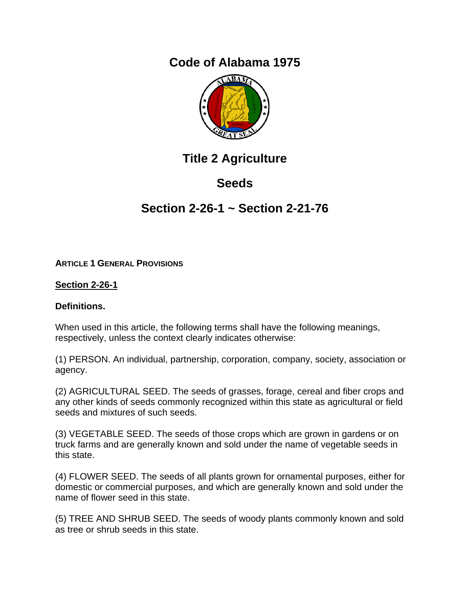# **Code of Alabama 1975**



# **Title 2 Agriculture**

# **Seeds**

# **Section 2-26-1 ~ Section 2-21-76**

## **ARTICLE 1 GENERAL PROVISIONS**

## **Section 2-26-1**

## **Definitions.**

When used in this article, the following terms shall have the following meanings, respectively, unless the context clearly indicates otherwise:

(1) PERSON. An individual, partnership, corporation, company, society, association or agency.

(2) AGRICULTURAL SEED. The seeds of grasses, forage, cereal and fiber crops and any other kinds of seeds commonly recognized within this state as agricultural or field seeds and mixtures of such seeds.

(3) VEGETABLE SEED. The seeds of those crops which are grown in gardens or on truck farms and are generally known and sold under the name of vegetable seeds in this state.

(4) FLOWER SEED. The seeds of all plants grown for ornamental purposes, either for domestic or commercial purposes, and which are generally known and sold under the name of flower seed in this state.

(5) TREE AND SHRUB SEED. The seeds of woody plants commonly known and sold as tree or shrub seeds in this state.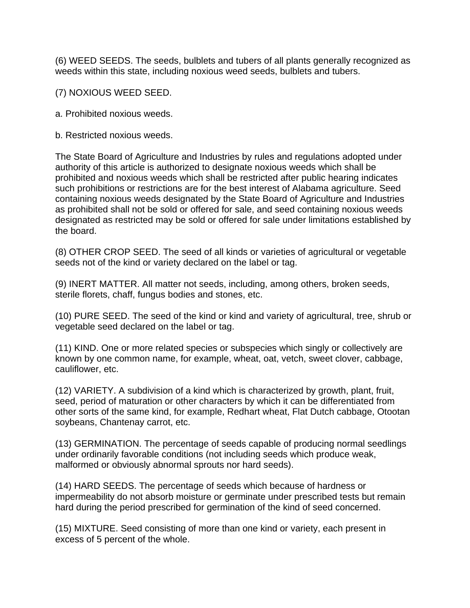(6) WEED SEEDS. The seeds, bulblets and tubers of all plants generally recognized as weeds within this state, including noxious weed seeds, bulblets and tubers.

(7) NOXIOUS WEED SEED.

a. Prohibited noxious weeds.

b. Restricted noxious weeds.

The State Board of Agriculture and Industries by rules and regulations adopted under authority of this article is authorized to designate noxious weeds which shall be prohibited and noxious weeds which shall be restricted after public hearing indicates such prohibitions or restrictions are for the best interest of Alabama agriculture. Seed containing noxious weeds designated by the State Board of Agriculture and Industries as prohibited shall not be sold or offered for sale, and seed containing noxious weeds designated as restricted may be sold or offered for sale under limitations established by the board.

(8) OTHER CROP SEED. The seed of all kinds or varieties of agricultural or vegetable seeds not of the kind or variety declared on the label or tag.

(9) INERT MATTER. All matter not seeds, including, among others, broken seeds, sterile florets, chaff, fungus bodies and stones, etc.

(10) PURE SEED. The seed of the kind or kind and variety of agricultural, tree, shrub or vegetable seed declared on the label or tag.

(11) KIND. One or more related species or subspecies which singly or collectively are known by one common name, for example, wheat, oat, vetch, sweet clover, cabbage, cauliflower, etc.

(12) VARIETY. A subdivision of a kind which is characterized by growth, plant, fruit, seed, period of maturation or other characters by which it can be differentiated from other sorts of the same kind, for example, Redhart wheat, Flat Dutch cabbage, Otootan soybeans, Chantenay carrot, etc.

(13) GERMINATION. The percentage of seeds capable of producing normal seedlings under ordinarily favorable conditions (not including seeds which produce weak, malformed or obviously abnormal sprouts nor hard seeds).

(14) HARD SEEDS. The percentage of seeds which because of hardness or impermeability do not absorb moisture or germinate under prescribed tests but remain hard during the period prescribed for germination of the kind of seed concerned.

(15) MIXTURE. Seed consisting of more than one kind or variety, each present in excess of 5 percent of the whole.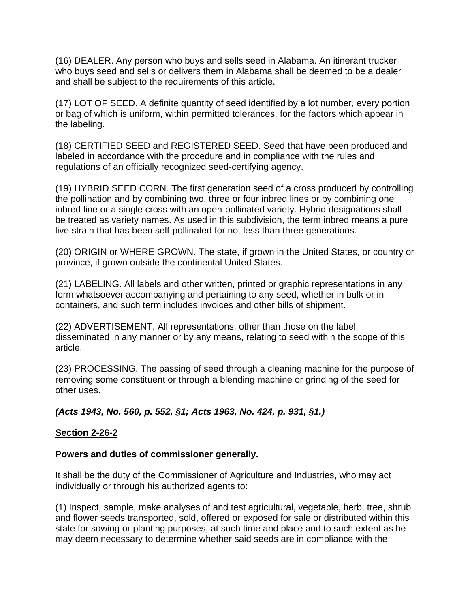(16) DEALER. Any person who buys and sells seed in Alabama. An itinerant trucker who buys seed and sells or delivers them in Alabama shall be deemed to be a dealer and shall be subject to the requirements of this article.

(17) LOT OF SEED. A definite quantity of seed identified by a lot number, every portion or bag of which is uniform, within permitted tolerances, for the factors which appear in the labeling.

(18) CERTIFIED SEED and REGISTERED SEED. Seed that have been produced and labeled in accordance with the procedure and in compliance with the rules and regulations of an officially recognized seed-certifying agency.

(19) HYBRID SEED CORN. The first generation seed of a cross produced by controlling the pollination and by combining two, three or four inbred lines or by combining one inbred line or a single cross with an open-pollinated variety. Hybrid designations shall be treated as variety names. As used in this subdivision, the term inbred means a pure live strain that has been self-pollinated for not less than three generations.

(20) ORIGIN or WHERE GROWN. The state, if grown in the United States, or country or province, if grown outside the continental United States.

(21) LABELING. All labels and other written, printed or graphic representations in any form whatsoever accompanying and pertaining to any seed, whether in bulk or in containers, and such term includes invoices and other bills of shipment.

(22) ADVERTISEMENT. All representations, other than those on the label, disseminated in any manner or by any means, relating to seed within the scope of this article.

(23) PROCESSING. The passing of seed through a cleaning machine for the purpose of removing some constituent or through a blending machine or grinding of the seed for other uses.

*(Acts 1943, No. 560, p. 552, §1; Acts 1963, No. 424, p. 931, §1.)*

## **Section 2-26-2**

#### **Powers and duties of commissioner generally.**

It shall be the duty of the Commissioner of Agriculture and Industries, who may act individually or through his authorized agents to:

(1) Inspect, sample, make analyses of and test agricultural, vegetable, herb, tree, shrub and flower seeds transported, sold, offered or exposed for sale or distributed within this state for sowing or planting purposes, at such time and place and to such extent as he may deem necessary to determine whether said seeds are in compliance with the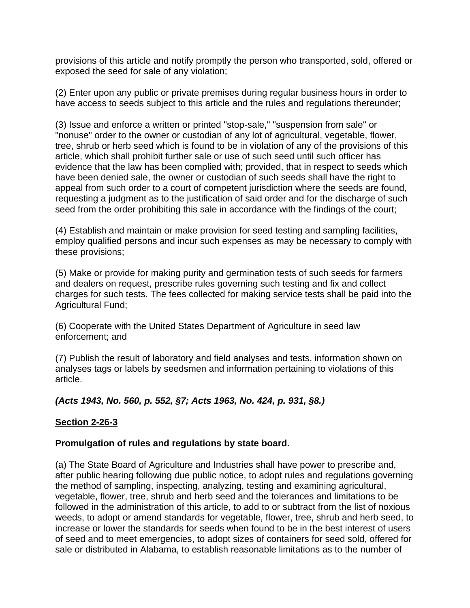provisions of this article and notify promptly the person who transported, sold, offered or exposed the seed for sale of any violation;

(2) Enter upon any public or private premises during regular business hours in order to have access to seeds subject to this article and the rules and regulations thereunder;

(3) Issue and enforce a written or printed "stop-sale," "suspension from sale" or "nonuse" order to the owner or custodian of any lot of agricultural, vegetable, flower, tree, shrub or herb seed which is found to be in violation of any of the provisions of this article, which shall prohibit further sale or use of such seed until such officer has evidence that the law has been complied with; provided, that in respect to seeds which have been denied sale, the owner or custodian of such seeds shall have the right to appeal from such order to a court of competent jurisdiction where the seeds are found, requesting a judgment as to the justification of said order and for the discharge of such seed from the order prohibiting this sale in accordance with the findings of the court;

(4) Establish and maintain or make provision for seed testing and sampling facilities, employ qualified persons and incur such expenses as may be necessary to comply with these provisions;

(5) Make or provide for making purity and germination tests of such seeds for farmers and dealers on request, prescribe rules governing such testing and fix and collect charges for such tests. The fees collected for making service tests shall be paid into the Agricultural Fund;

(6) Cooperate with the United States Department of Agriculture in seed law enforcement; and

(7) Publish the result of laboratory and field analyses and tests, information shown on analyses tags or labels by seedsmen and information pertaining to violations of this article.

## *(Acts 1943, No. 560, p. 552, §7; Acts 1963, No. 424, p. 931, §8.)*

#### **Section 2-26-3**

#### **Promulgation of rules and regulations by state board.**

(a) The State Board of Agriculture and Industries shall have power to prescribe and, after public hearing following due public notice, to adopt rules and regulations governing the method of sampling, inspecting, analyzing, testing and examining agricultural, vegetable, flower, tree, shrub and herb seed and the tolerances and limitations to be followed in the administration of this article, to add to or subtract from the list of noxious weeds, to adopt or amend standards for vegetable, flower, tree, shrub and herb seed, to increase or lower the standards for seeds when found to be in the best interest of users of seed and to meet emergencies, to adopt sizes of containers for seed sold, offered for sale or distributed in Alabama, to establish reasonable limitations as to the number of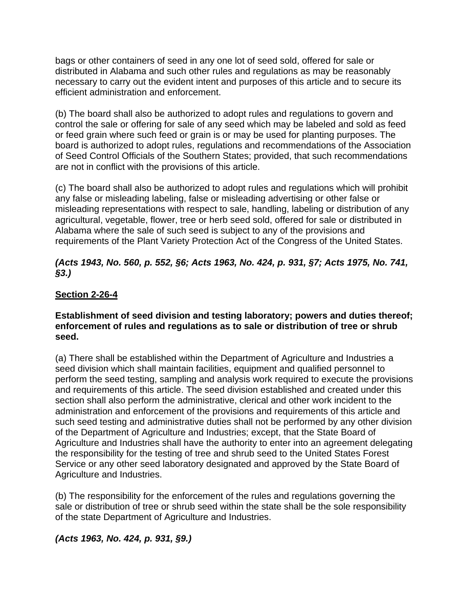bags or other containers of seed in any one lot of seed sold, offered for sale or distributed in Alabama and such other rules and regulations as may be reasonably necessary to carry out the evident intent and purposes of this article and to secure its efficient administration and enforcement.

(b) The board shall also be authorized to adopt rules and regulations to govern and control the sale or offering for sale of any seed which may be labeled and sold as feed or feed grain where such feed or grain is or may be used for planting purposes. The board is authorized to adopt rules, regulations and recommendations of the Association of Seed Control Officials of the Southern States; provided, that such recommendations are not in conflict with the provisions of this article.

(c) The board shall also be authorized to adopt rules and regulations which will prohibit any false or misleading labeling, false or misleading advertising or other false or misleading representations with respect to sale, handling, labeling or distribution of any agricultural, vegetable, flower, tree or herb seed sold, offered for sale or distributed in Alabama where the sale of such seed is subject to any of the provisions and requirements of the Plant Variety Protection Act of the Congress of the United States.

## *(Acts 1943, No. 560, p. 552, §6; Acts 1963, No. 424, p. 931, §7; Acts 1975, No. 741, §3.)*

## **Section 2-26-4**

#### **Establishment of seed division and testing laboratory; powers and duties thereof; enforcement of rules and regulations as to sale or distribution of tree or shrub seed.**

(a) There shall be established within the Department of Agriculture and Industries a seed division which shall maintain facilities, equipment and qualified personnel to perform the seed testing, sampling and analysis work required to execute the provisions and requirements of this article. The seed division established and created under this section shall also perform the administrative, clerical and other work incident to the administration and enforcement of the provisions and requirements of this article and such seed testing and administrative duties shall not be performed by any other division of the Department of Agriculture and Industries; except, that the State Board of Agriculture and Industries shall have the authority to enter into an agreement delegating the responsibility for the testing of tree and shrub seed to the United States Forest Service or any other seed laboratory designated and approved by the State Board of Agriculture and Industries.

(b) The responsibility for the enforcement of the rules and regulations governing the sale or distribution of tree or shrub seed within the state shall be the sole responsibility of the state Department of Agriculture and Industries.

*(Acts 1963, No. 424, p. 931, §9.)*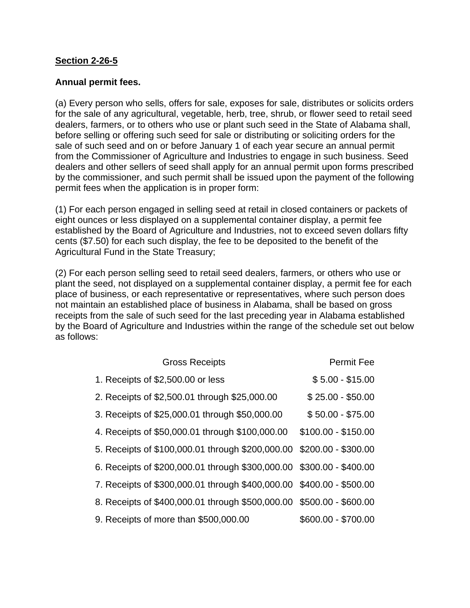### **Section 2-26-5**

### **Annual permit fees.**

(a) Every person who sells, offers for sale, exposes for sale, distributes or solicits orders for the sale of any agricultural, vegetable, herb, tree, shrub, or flower seed to retail seed dealers, farmers, or to others who use or plant such seed in the State of Alabama shall, before selling or offering such seed for sale or distributing or soliciting orders for the sale of such seed and on or before January 1 of each year secure an annual permit from the Commissioner of Agriculture and Industries to engage in such business. Seed dealers and other sellers of seed shall apply for an annual permit upon forms prescribed by the commissioner, and such permit shall be issued upon the payment of the following permit fees when the application is in proper form:

(1) For each person engaged in selling seed at retail in closed containers or packets of eight ounces or less displayed on a supplemental container display, a permit fee established by the Board of Agriculture and Industries, not to exceed seven dollars fifty cents (\$7.50) for each such display, the fee to be deposited to the benefit of the Agricultural Fund in the State Treasury;

(2) For each person selling seed to retail seed dealers, farmers, or others who use or plant the seed, not displayed on a supplemental container display, a permit fee for each place of business, or each representative or representatives, where such person does not maintain an established place of business in Alabama, shall be based on gross receipts from the sale of such seed for the last preceding year in Alabama established by the Board of Agriculture and Industries within the range of the schedule set out below as follows:

| <b>Gross Receipts</b>                                                | <b>Permit Fee</b>   |
|----------------------------------------------------------------------|---------------------|
| 1. Receipts of \$2,500.00 or less                                    | $$5.00 - $15.00$    |
| 2. Receipts of \$2,500.01 through \$25,000.00                        | $$25.00 - $50.00$   |
| 3. Receipts of \$25,000.01 through \$50,000.00                       | $$50.00 - $75.00$   |
| 4. Receipts of \$50,000.01 through \$100,000.00                      | $$100.00 - $150.00$ |
| 5. Receipts of \$100,000.01 through \$200,000.00 \$200.00 - \$300.00 |                     |
| 6. Receipts of \$200,000.01 through \$300,000.00 \$300.00 - \$400.00 |                     |
| 7. Receipts of \$300,000.01 through \$400,000.00 \$400.00 - \$500.00 |                     |
| 8. Receipts of \$400,000.01 through \$500,000.00 \$500.00 - \$600.00 |                     |
| 9. Receipts of more than \$500,000.00                                | \$600.00 - \$700.00 |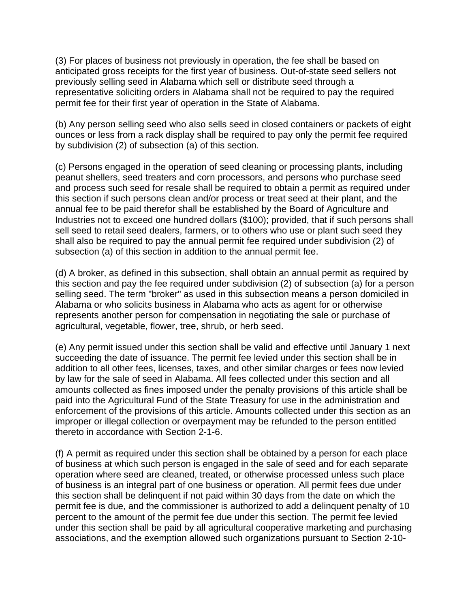(3) For places of business not previously in operation, the fee shall be based on anticipated gross receipts for the first year of business. Out-of-state seed sellers not previously selling seed in Alabama which sell or distribute seed through a representative soliciting orders in Alabama shall not be required to pay the required permit fee for their first year of operation in the State of Alabama.

(b) Any person selling seed who also sells seed in closed containers or packets of eight ounces or less from a rack display shall be required to pay only the permit fee required by subdivision (2) of subsection (a) of this section.

(c) Persons engaged in the operation of seed cleaning or processing plants, including peanut shellers, seed treaters and corn processors, and persons who purchase seed and process such seed for resale shall be required to obtain a permit as required under this section if such persons clean and/or process or treat seed at their plant, and the annual fee to be paid therefor shall be established by the Board of Agriculture and Industries not to exceed one hundred dollars (\$100); provided, that if such persons shall sell seed to retail seed dealers, farmers, or to others who use or plant such seed they shall also be required to pay the annual permit fee required under subdivision (2) of subsection (a) of this section in addition to the annual permit fee.

(d) A broker, as defined in this subsection, shall obtain an annual permit as required by this section and pay the fee required under subdivision (2) of subsection (a) for a person selling seed. The term "broker" as used in this subsection means a person domiciled in Alabama or who solicits business in Alabama who acts as agent for or otherwise represents another person for compensation in negotiating the sale or purchase of agricultural, vegetable, flower, tree, shrub, or herb seed.

(e) Any permit issued under this section shall be valid and effective until January 1 next succeeding the date of issuance. The permit fee levied under this section shall be in addition to all other fees, licenses, taxes, and other similar charges or fees now levied by law for the sale of seed in Alabama. All fees collected under this section and all amounts collected as fines imposed under the penalty provisions of this article shall be paid into the Agricultural Fund of the State Treasury for use in the administration and enforcement of the provisions of this article. Amounts collected under this section as an improper or illegal collection or overpayment may be refunded to the person entitled thereto in accordance with Section 2-1-6.

(f) A permit as required under this section shall be obtained by a person for each place of business at which such person is engaged in the sale of seed and for each separate operation where seed are cleaned, treated, or otherwise processed unless such place of business is an integral part of one business or operation. All permit fees due under this section shall be delinquent if not paid within 30 days from the date on which the permit fee is due, and the commissioner is authorized to add a delinquent penalty of 10 percent to the amount of the permit fee due under this section. The permit fee levied under this section shall be paid by all agricultural cooperative marketing and purchasing associations, and the exemption allowed such organizations pursuant to Section 2-10-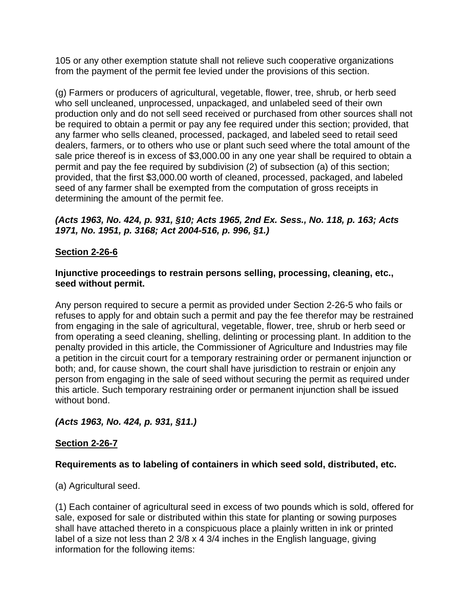105 or any other exemption statute shall not relieve such cooperative organizations from the payment of the permit fee levied under the provisions of this section.

(g) Farmers or producers of agricultural, vegetable, flower, tree, shrub, or herb seed who sell uncleaned, unprocessed, unpackaged, and unlabeled seed of their own production only and do not sell seed received or purchased from other sources shall not be required to obtain a permit or pay any fee required under this section; provided, that any farmer who sells cleaned, processed, packaged, and labeled seed to retail seed dealers, farmers, or to others who use or plant such seed where the total amount of the sale price thereof is in excess of \$3,000.00 in any one year shall be required to obtain a permit and pay the fee required by subdivision (2) of subsection (a) of this section; provided, that the first \$3,000.00 worth of cleaned, processed, packaged, and labeled seed of any farmer shall be exempted from the computation of gross receipts in determining the amount of the permit fee.

## *(Acts 1963, No. 424, p. 931, §10; Acts 1965, 2nd Ex. Sess., No. 118, p. 163; Acts 1971, No. 1951, p. 3168; Act 2004-516, p. 996, §1.)*

## **Section 2-26-6**

#### **Injunctive proceedings to restrain persons selling, processing, cleaning, etc., seed without permit.**

Any person required to secure a permit as provided under Section 2-26-5 who fails or refuses to apply for and obtain such a permit and pay the fee therefor may be restrained from engaging in the sale of agricultural, vegetable, flower, tree, shrub or herb seed or from operating a seed cleaning, shelling, delinting or processing plant. In addition to the penalty provided in this article, the Commissioner of Agriculture and Industries may file a petition in the circuit court for a temporary restraining order or permanent injunction or both; and, for cause shown, the court shall have jurisdiction to restrain or enjoin any person from engaging in the sale of seed without securing the permit as required under this article. Such temporary restraining order or permanent injunction shall be issued without bond.

## *(Acts 1963, No. 424, p. 931, §11.)*

## **Section 2-26-7**

#### **Requirements as to labeling of containers in which seed sold, distributed, etc.**

(a) Agricultural seed.

(1) Each container of agricultural seed in excess of two pounds which is sold, offered for sale, exposed for sale or distributed within this state for planting or sowing purposes shall have attached thereto in a conspicuous place a plainly written in ink or printed label of a size not less than 2 3/8 x 4 3/4 inches in the English language, giving information for the following items: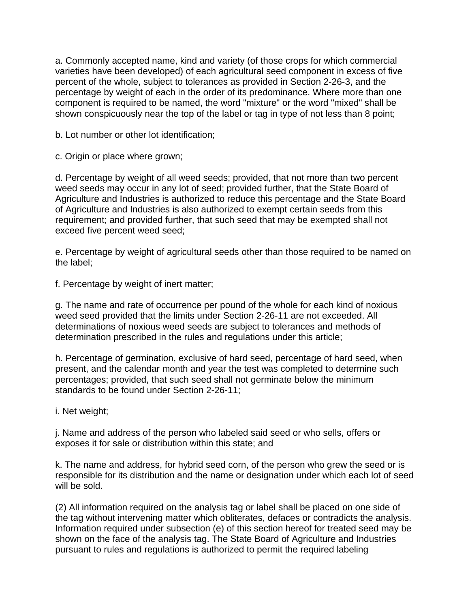a. Commonly accepted name, kind and variety (of those crops for which commercial varieties have been developed) of each agricultural seed component in excess of five percent of the whole, subject to tolerances as provided in Section 2-26-3, and the percentage by weight of each in the order of its predominance. Where more than one component is required to be named, the word "mixture" or the word "mixed" shall be shown conspicuously near the top of the label or tag in type of not less than 8 point;

b. Lot number or other lot identification;

c. Origin or place where grown;

d. Percentage by weight of all weed seeds; provided, that not more than two percent weed seeds may occur in any lot of seed; provided further, that the State Board of Agriculture and Industries is authorized to reduce this percentage and the State Board of Agriculture and Industries is also authorized to exempt certain seeds from this requirement; and provided further, that such seed that may be exempted shall not exceed five percent weed seed;

e. Percentage by weight of agricultural seeds other than those required to be named on the label;

f. Percentage by weight of inert matter;

g. The name and rate of occurrence per pound of the whole for each kind of noxious weed seed provided that the limits under Section 2-26-11 are not exceeded. All determinations of noxious weed seeds are subject to tolerances and methods of determination prescribed in the rules and regulations under this article;

h. Percentage of germination, exclusive of hard seed, percentage of hard seed, when present, and the calendar month and year the test was completed to determine such percentages; provided, that such seed shall not germinate below the minimum standards to be found under Section 2-26-11;

i. Net weight;

j. Name and address of the person who labeled said seed or who sells, offers or exposes it for sale or distribution within this state; and

k. The name and address, for hybrid seed corn, of the person who grew the seed or is responsible for its distribution and the name or designation under which each lot of seed will be sold.

(2) All information required on the analysis tag or label shall be placed on one side of the tag without intervening matter which obliterates, defaces or contradicts the analysis. Information required under subsection (e) of this section hereof for treated seed may be shown on the face of the analysis tag. The State Board of Agriculture and Industries pursuant to rules and regulations is authorized to permit the required labeling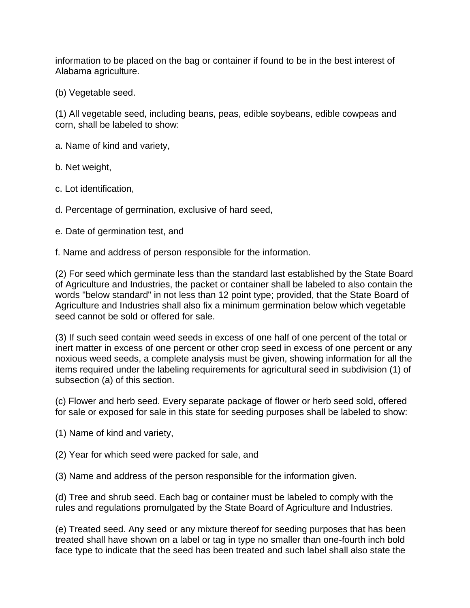information to be placed on the bag or container if found to be in the best interest of Alabama agriculture.

(b) Vegetable seed.

(1) All vegetable seed, including beans, peas, edible soybeans, edible cowpeas and corn, shall be labeled to show:

a. Name of kind and variety,

b. Net weight,

c. Lot identification,

d. Percentage of germination, exclusive of hard seed,

e. Date of germination test, and

f. Name and address of person responsible for the information.

(2) For seed which germinate less than the standard last established by the State Board of Agriculture and Industries, the packet or container shall be labeled to also contain the words "below standard" in not less than 12 point type; provided, that the State Board of Agriculture and Industries shall also fix a minimum germination below which vegetable seed cannot be sold or offered for sale.

(3) If such seed contain weed seeds in excess of one half of one percent of the total or inert matter in excess of one percent or other crop seed in excess of one percent or any noxious weed seeds, a complete analysis must be given, showing information for all the items required under the labeling requirements for agricultural seed in subdivision (1) of subsection (a) of this section.

(c) Flower and herb seed. Every separate package of flower or herb seed sold, offered for sale or exposed for sale in this state for seeding purposes shall be labeled to show:

(1) Name of kind and variety,

(2) Year for which seed were packed for sale, and

(3) Name and address of the person responsible for the information given.

(d) Tree and shrub seed. Each bag or container must be labeled to comply with the rules and regulations promulgated by the State Board of Agriculture and Industries.

(e) Treated seed. Any seed or any mixture thereof for seeding purposes that has been treated shall have shown on a label or tag in type no smaller than one-fourth inch bold face type to indicate that the seed has been treated and such label shall also state the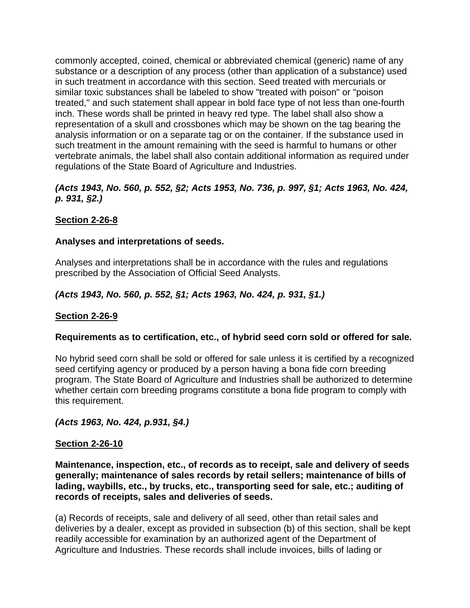commonly accepted, coined, chemical or abbreviated chemical (generic) name of any substance or a description of any process (other than application of a substance) used in such treatment in accordance with this section. Seed treated with mercurials or similar toxic substances shall be labeled to show "treated with poison" or "poison treated," and such statement shall appear in bold face type of not less than one-fourth inch. These words shall be printed in heavy red type. The label shall also show a representation of a skull and crossbones which may be shown on the tag bearing the analysis information or on a separate tag or on the container. If the substance used in such treatment in the amount remaining with the seed is harmful to humans or other vertebrate animals, the label shall also contain additional information as required under regulations of the State Board of Agriculture and Industries.

## *(Acts 1943, No. 560, p. 552, §2; Acts 1953, No. 736, p. 997, §1; Acts 1963, No. 424, p. 931, §2.)*

## **Section 2-26-8**

## **Analyses and interpretations of seeds.**

Analyses and interpretations shall be in accordance with the rules and regulations prescribed by the Association of Official Seed Analysts.

## *(Acts 1943, No. 560, p. 552, §1; Acts 1963, No. 424, p. 931, §1.)*

## **Section 2-26-9**

#### **Requirements as to certification, etc., of hybrid seed corn sold or offered for sale.**

No hybrid seed corn shall be sold or offered for sale unless it is certified by a recognized seed certifying agency or produced by a person having a bona fide corn breeding program. The State Board of Agriculture and Industries shall be authorized to determine whether certain corn breeding programs constitute a bona fide program to comply with this requirement.

#### *(Acts 1963, No. 424, p.931, §4.)*

#### **Section 2-26-10**

**Maintenance, inspection, etc., of records as to receipt, sale and delivery of seeds generally; maintenance of sales records by retail sellers; maintenance of bills of lading, waybills, etc., by trucks, etc., transporting seed for sale, etc.; auditing of records of receipts, sales and deliveries of seeds.** 

(a) Records of receipts, sale and delivery of all seed, other than retail sales and deliveries by a dealer, except as provided in subsection (b) of this section, shall be kept readily accessible for examination by an authorized agent of the Department of Agriculture and Industries. These records shall include invoices, bills of lading or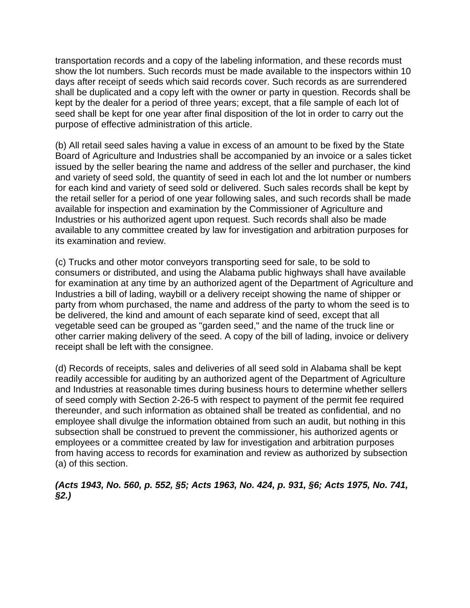transportation records and a copy of the labeling information, and these records must show the lot numbers. Such records must be made available to the inspectors within 10 days after receipt of seeds which said records cover. Such records as are surrendered shall be duplicated and a copy left with the owner or party in question. Records shall be kept by the dealer for a period of three years; except, that a file sample of each lot of seed shall be kept for one year after final disposition of the lot in order to carry out the purpose of effective administration of this article.

(b) All retail seed sales having a value in excess of an amount to be fixed by the State Board of Agriculture and Industries shall be accompanied by an invoice or a sales ticket issued by the seller bearing the name and address of the seller and purchaser, the kind and variety of seed sold, the quantity of seed in each lot and the lot number or numbers for each kind and variety of seed sold or delivered. Such sales records shall be kept by the retail seller for a period of one year following sales, and such records shall be made available for inspection and examination by the Commissioner of Agriculture and Industries or his authorized agent upon request. Such records shall also be made available to any committee created by law for investigation and arbitration purposes for its examination and review.

(c) Trucks and other motor conveyors transporting seed for sale, to be sold to consumers or distributed, and using the Alabama public highways shall have available for examination at any time by an authorized agent of the Department of Agriculture and Industries a bill of lading, waybill or a delivery receipt showing the name of shipper or party from whom purchased, the name and address of the party to whom the seed is to be delivered, the kind and amount of each separate kind of seed, except that all vegetable seed can be grouped as "garden seed," and the name of the truck line or other carrier making delivery of the seed. A copy of the bill of lading, invoice or delivery receipt shall be left with the consignee.

(d) Records of receipts, sales and deliveries of all seed sold in Alabama shall be kept readily accessible for auditing by an authorized agent of the Department of Agriculture and Industries at reasonable times during business hours to determine whether sellers of seed comply with Section 2-26-5 with respect to payment of the permit fee required thereunder, and such information as obtained shall be treated as confidential, and no employee shall divulge the information obtained from such an audit, but nothing in this subsection shall be construed to prevent the commissioner, his authorized agents or employees or a committee created by law for investigation and arbitration purposes from having access to records for examination and review as authorized by subsection (a) of this section.

## *(Acts 1943, No. 560, p. 552, §5; Acts 1963, No. 424, p. 931, §6; Acts 1975, No. 741, §2.)*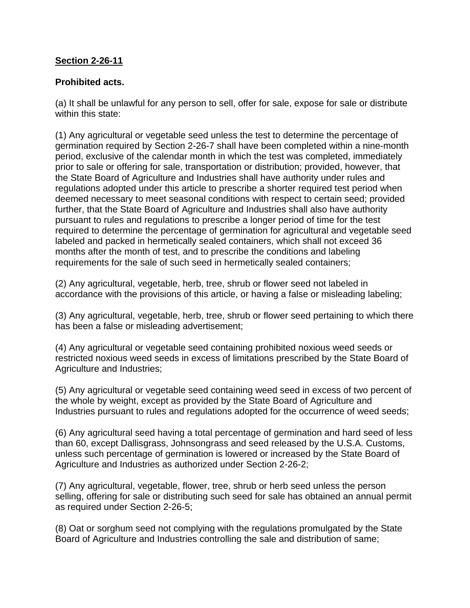## **Section 2-26-11**

### **Prohibited acts.**

(a) It shall be unlawful for any person to sell, offer for sale, expose for sale or distribute within this state:

(1) Any agricultural or vegetable seed unless the test to determine the percentage of germination required by Section 2-26-7 shall have been completed within a nine-month period, exclusive of the calendar month in which the test was completed, immediately prior to sale or offering for sale, transportation or distribution; provided, however, that the State Board of Agriculture and Industries shall have authority under rules and regulations adopted under this article to prescribe a shorter required test period when deemed necessary to meet seasonal conditions with respect to certain seed; provided further, that the State Board of Agriculture and Industries shall also have authority pursuant to rules and regulations to prescribe a longer period of time for the test required to determine the percentage of germination for agricultural and vegetable seed labeled and packed in hermetically sealed containers, which shall not exceed 36 months after the month of test, and to prescribe the conditions and labeling requirements for the sale of such seed in hermetically sealed containers;

(2) Any agricultural, vegetable, herb, tree, shrub or flower seed not labeled in accordance with the provisions of this article, or having a false or misleading labeling;

(3) Any agricultural, vegetable, herb, tree, shrub or flower seed pertaining to which there has been a false or misleading advertisement;

(4) Any agricultural or vegetable seed containing prohibited noxious weed seeds or restricted noxious weed seeds in excess of limitations prescribed by the State Board of Agriculture and Industries;

(5) Any agricultural or vegetable seed containing weed seed in excess of two percent of the whole by weight, except as provided by the State Board of Agriculture and Industries pursuant to rules and regulations adopted for the occurrence of weed seeds:

(6) Any agricultural seed having a total percentage of germination and hard seed of less than 60, except Dallisgrass, Johnsongrass and seed released by the U.S.A. Customs, unless such percentage of germination is lowered or increased by the State Board of Agriculture and Industries as authorized under Section 2-26-2;

(7) Any agricultural, vegetable, flower, tree, shrub or herb seed unless the person selling, offering for sale or distributing such seed for sale has obtained an annual permit as required under Section 2-26-5;

(8) Oat or sorghum seed not complying with the regulations promulgated by the State Board of Agriculture and Industries controlling the sale and distribution of same;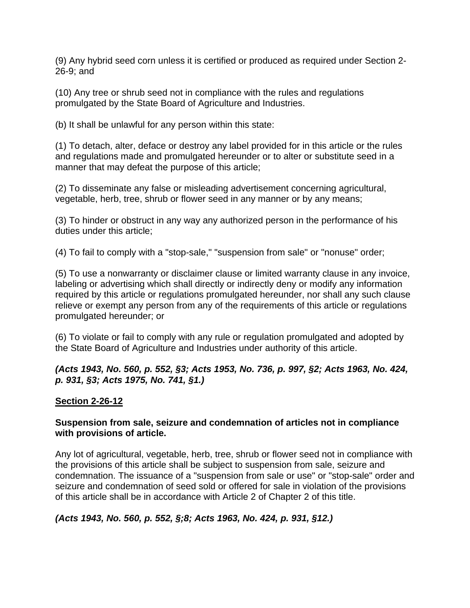(9) Any hybrid seed corn unless it is certified or produced as required under Section 2- 26-9; and

(10) Any tree or shrub seed not in compliance with the rules and regulations promulgated by the State Board of Agriculture and Industries.

(b) It shall be unlawful for any person within this state:

(1) To detach, alter, deface or destroy any label provided for in this article or the rules and regulations made and promulgated hereunder or to alter or substitute seed in a manner that may defeat the purpose of this article;

(2) To disseminate any false or misleading advertisement concerning agricultural, vegetable, herb, tree, shrub or flower seed in any manner or by any means;

(3) To hinder or obstruct in any way any authorized person in the performance of his duties under this article;

(4) To fail to comply with a "stop-sale," "suspension from sale" or "nonuse" order;

(5) To use a nonwarranty or disclaimer clause or limited warranty clause in any invoice, labeling or advertising which shall directly or indirectly deny or modify any information required by this article or regulations promulgated hereunder, nor shall any such clause relieve or exempt any person from any of the requirements of this article or regulations promulgated hereunder; or

(6) To violate or fail to comply with any rule or regulation promulgated and adopted by the State Board of Agriculture and Industries under authority of this article.

#### *(Acts 1943, No. 560, p. 552, §3; Acts 1953, No. 736, p. 997, §2; Acts 1963, No. 424, p. 931, §3; Acts 1975, No. 741, §1.)*

#### **Section 2-26-12**

#### **Suspension from sale, seizure and condemnation of articles not in compliance with provisions of article.**

Any lot of agricultural, vegetable, herb, tree, shrub or flower seed not in compliance with the provisions of this article shall be subject to suspension from sale, seizure and condemnation. The issuance of a "suspension from sale or use" or "stop-sale" order and seizure and condemnation of seed sold or offered for sale in violation of the provisions of this article shall be in accordance with Article 2 of Chapter 2 of this title.

#### *(Acts 1943, No. 560, p. 552, §;8; Acts 1963, No. 424, p. 931, §12.)*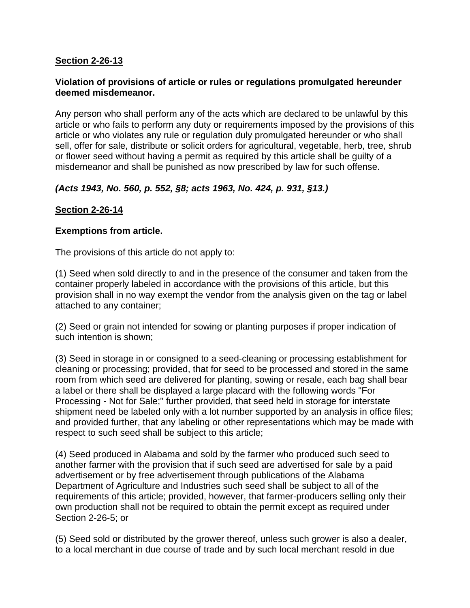## **Section 2-26-13**

#### **Violation of provisions of article or rules or regulations promulgated hereunder deemed misdemeanor.**

Any person who shall perform any of the acts which are declared to be unlawful by this article or who fails to perform any duty or requirements imposed by the provisions of this article or who violates any rule or regulation duly promulgated hereunder or who shall sell, offer for sale, distribute or solicit orders for agricultural, vegetable, herb, tree, shrub or flower seed without having a permit as required by this article shall be guilty of a misdemeanor and shall be punished as now prescribed by law for such offense.

## *(Acts 1943, No. 560, p. 552, §8; acts 1963, No. 424, p. 931, §13.)*

## **Section 2-26-14**

#### **Exemptions from article.**

The provisions of this article do not apply to:

(1) Seed when sold directly to and in the presence of the consumer and taken from the container properly labeled in accordance with the provisions of this article, but this provision shall in no way exempt the vendor from the analysis given on the tag or label attached to any container;

(2) Seed or grain not intended for sowing or planting purposes if proper indication of such intention is shown;

(3) Seed in storage in or consigned to a seed-cleaning or processing establishment for cleaning or processing; provided, that for seed to be processed and stored in the same room from which seed are delivered for planting, sowing or resale, each bag shall bear a label or there shall be displayed a large placard with the following words "For Processing - Not for Sale;" further provided, that seed held in storage for interstate shipment need be labeled only with a lot number supported by an analysis in office files; and provided further, that any labeling or other representations which may be made with respect to such seed shall be subject to this article;

(4) Seed produced in Alabama and sold by the farmer who produced such seed to another farmer with the provision that if such seed are advertised for sale by a paid advertisement or by free advertisement through publications of the Alabama Department of Agriculture and Industries such seed shall be subject to all of the requirements of this article; provided, however, that farmer-producers selling only their own production shall not be required to obtain the permit except as required under Section 2-26-5; or

(5) Seed sold or distributed by the grower thereof, unless such grower is also a dealer, to a local merchant in due course of trade and by such local merchant resold in due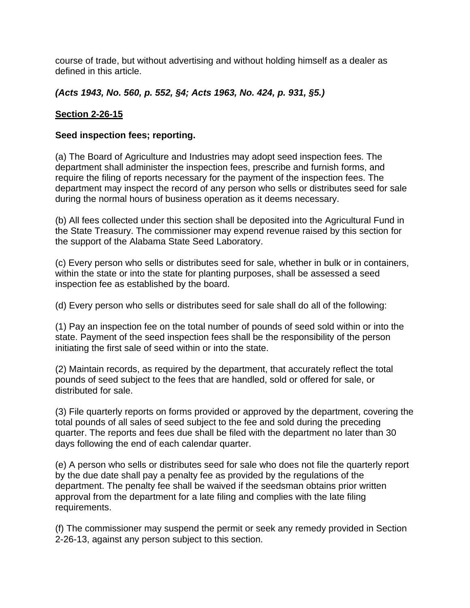course of trade, but without advertising and without holding himself as a dealer as defined in this article.

## *(Acts 1943, No. 560, p. 552, §4; Acts 1963, No. 424, p. 931, §5.)*

## **Section 2-26-15**

#### **Seed inspection fees; reporting.**

(a) The Board of Agriculture and Industries may adopt seed inspection fees. The department shall administer the inspection fees, prescribe and furnish forms, and require the filing of reports necessary for the payment of the inspection fees. The department may inspect the record of any person who sells or distributes seed for sale during the normal hours of business operation as it deems necessary.

(b) All fees collected under this section shall be deposited into the Agricultural Fund in the State Treasury. The commissioner may expend revenue raised by this section for the support of the Alabama State Seed Laboratory.

(c) Every person who sells or distributes seed for sale, whether in bulk or in containers, within the state or into the state for planting purposes, shall be assessed a seed inspection fee as established by the board.

(d) Every person who sells or distributes seed for sale shall do all of the following:

(1) Pay an inspection fee on the total number of pounds of seed sold within or into the state. Payment of the seed inspection fees shall be the responsibility of the person initiating the first sale of seed within or into the state.

(2) Maintain records, as required by the department, that accurately reflect the total pounds of seed subject to the fees that are handled, sold or offered for sale, or distributed for sale.

(3) File quarterly reports on forms provided or approved by the department, covering the total pounds of all sales of seed subject to the fee and sold during the preceding quarter. The reports and fees due shall be filed with the department no later than 30 days following the end of each calendar quarter.

(e) A person who sells or distributes seed for sale who does not file the quarterly report by the due date shall pay a penalty fee as provided by the regulations of the department. The penalty fee shall be waived if the seedsman obtains prior written approval from the department for a late filing and complies with the late filing requirements.

(f) The commissioner may suspend the permit or seek any remedy provided in Section 2-26-13, against any person subject to this section.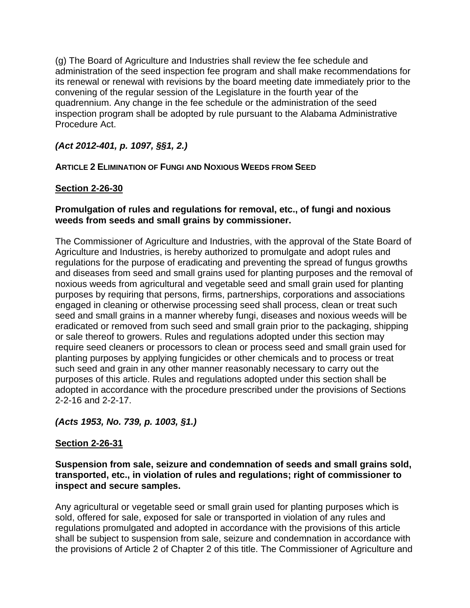(g) The Board of Agriculture and Industries shall review the fee schedule and administration of the seed inspection fee program and shall make recommendations for its renewal or renewal with revisions by the board meeting date immediately prior to the convening of the regular session of the Legislature in the fourth year of the quadrennium. Any change in the fee schedule or the administration of the seed inspection program shall be adopted by rule pursuant to the Alabama Administrative Procedure Act.

## *(Act 2012-401, p. 1097, §§1, 2.)*

## **ARTICLE 2 ELIMINATION OF FUNGI AND NOXIOUS WEEDS FROM SEED**

## **Section 2-26-30**

### **Promulgation of rules and regulations for removal, etc., of fungi and noxious weeds from seeds and small grains by commissioner.**

The Commissioner of Agriculture and Industries, with the approval of the State Board of Agriculture and Industries, is hereby authorized to promulgate and adopt rules and regulations for the purpose of eradicating and preventing the spread of fungus growths and diseases from seed and small grains used for planting purposes and the removal of noxious weeds from agricultural and vegetable seed and small grain used for planting purposes by requiring that persons, firms, partnerships, corporations and associations engaged in cleaning or otherwise processing seed shall process, clean or treat such seed and small grains in a manner whereby fungi, diseases and noxious weeds will be eradicated or removed from such seed and small grain prior to the packaging, shipping or sale thereof to growers. Rules and regulations adopted under this section may require seed cleaners or processors to clean or process seed and small grain used for planting purposes by applying fungicides or other chemicals and to process or treat such seed and grain in any other manner reasonably necessary to carry out the purposes of this article. Rules and regulations adopted under this section shall be adopted in accordance with the procedure prescribed under the provisions of Sections 2-2-16 and 2-2-17.

## *(Acts 1953, No. 739, p. 1003, §1.)*

## **Section 2-26-31**

**Suspension from sale, seizure and condemnation of seeds and small grains sold, transported, etc., in violation of rules and regulations; right of commissioner to inspect and secure samples.** 

Any agricultural or vegetable seed or small grain used for planting purposes which is sold, offered for sale, exposed for sale or transported in violation of any rules and regulations promulgated and adopted in accordance with the provisions of this article shall be subject to suspension from sale, seizure and condemnation in accordance with the provisions of Article 2 of Chapter 2 of this title. The Commissioner of Agriculture and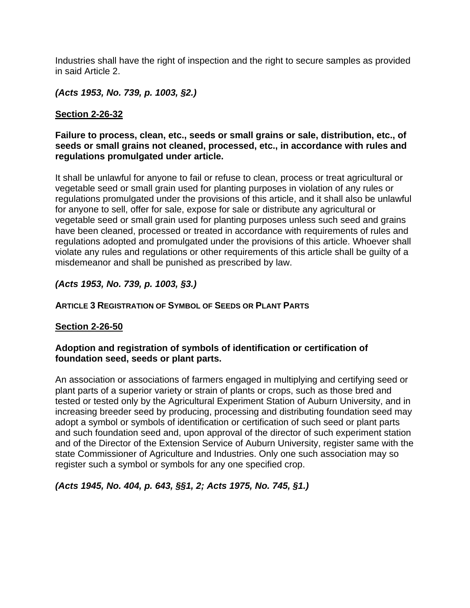Industries shall have the right of inspection and the right to secure samples as provided in said Article 2.

*(Acts 1953, No. 739, p. 1003, §2.)*

## **Section 2-26-32**

#### **Failure to process, clean, etc., seeds or small grains or sale, distribution, etc., of seeds or small grains not cleaned, processed, etc., in accordance with rules and regulations promulgated under article.**

It shall be unlawful for anyone to fail or refuse to clean, process or treat agricultural or vegetable seed or small grain used for planting purposes in violation of any rules or regulations promulgated under the provisions of this article, and it shall also be unlawful for anyone to sell, offer for sale, expose for sale or distribute any agricultural or vegetable seed or small grain used for planting purposes unless such seed and grains have been cleaned, processed or treated in accordance with requirements of rules and regulations adopted and promulgated under the provisions of this article. Whoever shall violate any rules and regulations or other requirements of this article shall be guilty of a misdemeanor and shall be punished as prescribed by law.

#### *(Acts 1953, No. 739, p. 1003, §3.)*

### **ARTICLE 3 REGISTRATION OF SYMBOL OF SEEDS OR PLANT PARTS**

#### **Section 2-26-50**

#### **Adoption and registration of symbols of identification or certification of foundation seed, seeds or plant parts.**

An association or associations of farmers engaged in multiplying and certifying seed or plant parts of a superior variety or strain of plants or crops, such as those bred and tested or tested only by the Agricultural Experiment Station of Auburn University, and in increasing breeder seed by producing, processing and distributing foundation seed may adopt a symbol or symbols of identification or certification of such seed or plant parts and such foundation seed and, upon approval of the director of such experiment station and of the Director of the Extension Service of Auburn University, register same with the state Commissioner of Agriculture and Industries. Only one such association may so register such a symbol or symbols for any one specified crop.

*(Acts 1945, No. 404, p. 643, §§1, 2; Acts 1975, No. 745, §1.)*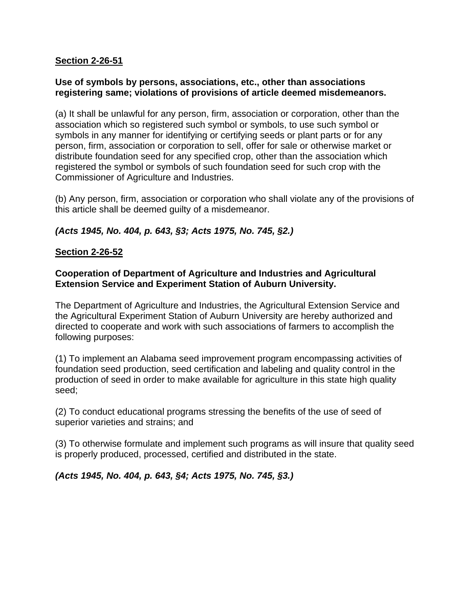### **Section 2-26-51**

#### **Use of symbols by persons, associations, etc., other than associations registering same; violations of provisions of article deemed misdemeanors.**

(a) It shall be unlawful for any person, firm, association or corporation, other than the association which so registered such symbol or symbols, to use such symbol or symbols in any manner for identifying or certifying seeds or plant parts or for any person, firm, association or corporation to sell, offer for sale or otherwise market or distribute foundation seed for any specified crop, other than the association which registered the symbol or symbols of such foundation seed for such crop with the Commissioner of Agriculture and Industries.

(b) Any person, firm, association or corporation who shall violate any of the provisions of this article shall be deemed guilty of a misdemeanor.

## *(Acts 1945, No. 404, p. 643, §3; Acts 1975, No. 745, §2.)*

## **Section 2-26-52**

### **Cooperation of Department of Agriculture and Industries and Agricultural Extension Service and Experiment Station of Auburn University.**

The Department of Agriculture and Industries, the Agricultural Extension Service and the Agricultural Experiment Station of Auburn University are hereby authorized and directed to cooperate and work with such associations of farmers to accomplish the following purposes:

(1) To implement an Alabama seed improvement program encompassing activities of foundation seed production, seed certification and labeling and quality control in the production of seed in order to make available for agriculture in this state high quality seed;

(2) To conduct educational programs stressing the benefits of the use of seed of superior varieties and strains; and

(3) To otherwise formulate and implement such programs as will insure that quality seed is properly produced, processed, certified and distributed in the state.

*(Acts 1945, No. 404, p. 643, §4; Acts 1975, No. 745, §3.)*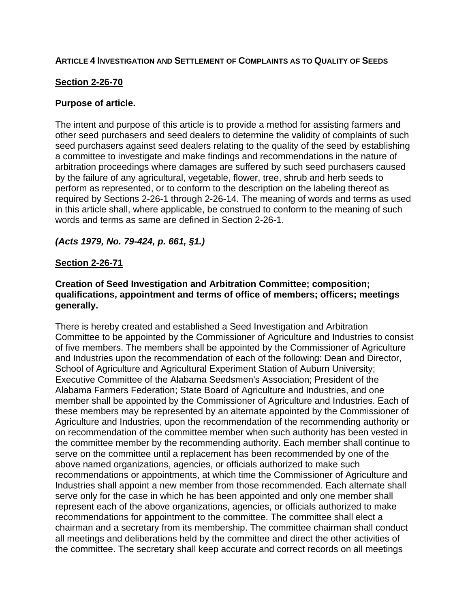#### **ARTICLE 4 INVESTIGATION AND SETTLEMENT OF COMPLAINTS AS TO QUALITY OF SEEDS**

### **Section 2-26-70**

#### **Purpose of article.**

The intent and purpose of this article is to provide a method for assisting farmers and other seed purchasers and seed dealers to determine the validity of complaints of such seed purchasers against seed dealers relating to the quality of the seed by establishing a committee to investigate and make findings and recommendations in the nature of arbitration proceedings where damages are suffered by such seed purchasers caused by the failure of any agricultural, vegetable, flower, tree, shrub and herb seeds to perform as represented, or to conform to the description on the labeling thereof as required by Sections 2-26-1 through 2-26-14. The meaning of words and terms as used in this article shall, where applicable, be construed to conform to the meaning of such words and terms as same are defined in Section 2-26-1.

#### *(Acts 1979, No. 79-424, p. 661, §1.)*

#### **Section 2-26-71**

#### **Creation of Seed Investigation and Arbitration Committee; composition; qualifications, appointment and terms of office of members; officers; meetings generally.**

There is hereby created and established a Seed Investigation and Arbitration Committee to be appointed by the Commissioner of Agriculture and Industries to consist of five members. The members shall be appointed by the Commissioner of Agriculture and Industries upon the recommendation of each of the following: Dean and Director, School of Agriculture and Agricultural Experiment Station of Auburn University; Executive Committee of the Alabama Seedsmen's Association; President of the Alabama Farmers Federation; State Board of Agriculture and Industries, and one member shall be appointed by the Commissioner of Agriculture and Industries. Each of these members may be represented by an alternate appointed by the Commissioner of Agriculture and Industries, upon the recommendation of the recommending authority or on recommendation of the committee member when such authority has been vested in the committee member by the recommending authority. Each member shall continue to serve on the committee until a replacement has been recommended by one of the above named organizations, agencies, or officials authorized to make such recommendations or appointments, at which time the Commissioner of Agriculture and Industries shall appoint a new member from those recommended. Each alternate shall serve only for the case in which he has been appointed and only one member shall represent each of the above organizations, agencies, or officials authorized to make recommendations for appointment to the committee. The committee shall elect a chairman and a secretary from its membership. The committee chairman shall conduct all meetings and deliberations held by the committee and direct the other activities of the committee. The secretary shall keep accurate and correct records on all meetings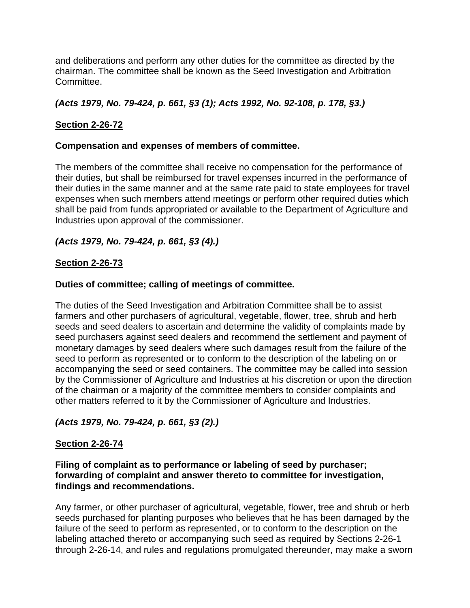and deliberations and perform any other duties for the committee as directed by the chairman. The committee shall be known as the Seed Investigation and Arbitration Committee.

## *(Acts 1979, No. 79-424, p. 661, §3 (1); Acts 1992, No. 92-108, p. 178, §3.)*

## **Section 2-26-72**

### **Compensation and expenses of members of committee.**

The members of the committee shall receive no compensation for the performance of their duties, but shall be reimbursed for travel expenses incurred in the performance of their duties in the same manner and at the same rate paid to state employees for travel expenses when such members attend meetings or perform other required duties which shall be paid from funds appropriated or available to the Department of Agriculture and Industries upon approval of the commissioner.

## *(Acts 1979, No. 79-424, p. 661, §3 (4).)*

#### **Section 2-26-73**

#### **Duties of committee; calling of meetings of committee.**

The duties of the Seed Investigation and Arbitration Committee shall be to assist farmers and other purchasers of agricultural, vegetable, flower, tree, shrub and herb seeds and seed dealers to ascertain and determine the validity of complaints made by seed purchasers against seed dealers and recommend the settlement and payment of monetary damages by seed dealers where such damages result from the failure of the seed to perform as represented or to conform to the description of the labeling on or accompanying the seed or seed containers. The committee may be called into session by the Commissioner of Agriculture and Industries at his discretion or upon the direction of the chairman or a majority of the committee members to consider complaints and other matters referred to it by the Commissioner of Agriculture and Industries.

## *(Acts 1979, No. 79-424, p. 661, §3 (2).)*

#### **Section 2-26-74**

#### **Filing of complaint as to performance or labeling of seed by purchaser; forwarding of complaint and answer thereto to committee for investigation, findings and recommendations.**

Any farmer, or other purchaser of agricultural, vegetable, flower, tree and shrub or herb seeds purchased for planting purposes who believes that he has been damaged by the failure of the seed to perform as represented, or to conform to the description on the labeling attached thereto or accompanying such seed as required by Sections 2-26-1 through 2-26-14, and rules and regulations promulgated thereunder, may make a sworn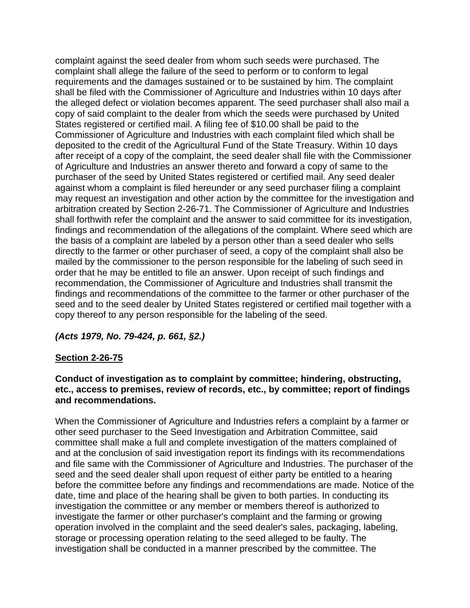complaint against the seed dealer from whom such seeds were purchased. The complaint shall allege the failure of the seed to perform or to conform to legal requirements and the damages sustained or to be sustained by him. The complaint shall be filed with the Commissioner of Agriculture and Industries within 10 days after the alleged defect or violation becomes apparent. The seed purchaser shall also mail a copy of said complaint to the dealer from which the seeds were purchased by United States registered or certified mail. A filing fee of \$10.00 shall be paid to the Commissioner of Agriculture and Industries with each complaint filed which shall be deposited to the credit of the Agricultural Fund of the State Treasury. Within 10 days after receipt of a copy of the complaint, the seed dealer shall file with the Commissioner of Agriculture and Industries an answer thereto and forward a copy of same to the purchaser of the seed by United States registered or certified mail. Any seed dealer against whom a complaint is filed hereunder or any seed purchaser filing a complaint may request an investigation and other action by the committee for the investigation and arbitration created by Section 2-26-71. The Commissioner of Agriculture and Industries shall forthwith refer the complaint and the answer to said committee for its investigation, findings and recommendation of the allegations of the complaint. Where seed which are the basis of a complaint are labeled by a person other than a seed dealer who sells directly to the farmer or other purchaser of seed, a copy of the complaint shall also be mailed by the commissioner to the person responsible for the labeling of such seed in order that he may be entitled to file an answer. Upon receipt of such findings and recommendation, the Commissioner of Agriculture and Industries shall transmit the findings and recommendations of the committee to the farmer or other purchaser of the seed and to the seed dealer by United States registered or certified mail together with a copy thereof to any person responsible for the labeling of the seed.

#### *(Acts 1979, No. 79-424, p. 661, §2.)*

#### **Section 2-26-75**

#### **Conduct of investigation as to complaint by committee; hindering, obstructing, etc., access to premises, review of records, etc., by committee; report of findings and recommendations.**

When the Commissioner of Agriculture and Industries refers a complaint by a farmer or other seed purchaser to the Seed Investigation and Arbitration Committee, said committee shall make a full and complete investigation of the matters complained of and at the conclusion of said investigation report its findings with its recommendations and file same with the Commissioner of Agriculture and Industries. The purchaser of the seed and the seed dealer shall upon request of either party be entitled to a hearing before the committee before any findings and recommendations are made. Notice of the date, time and place of the hearing shall be given to both parties. In conducting its investigation the committee or any member or members thereof is authorized to investigate the farmer or other purchaser's complaint and the farming or growing operation involved in the complaint and the seed dealer's sales, packaging, labeling, storage or processing operation relating to the seed alleged to be faulty. The investigation shall be conducted in a manner prescribed by the committee. The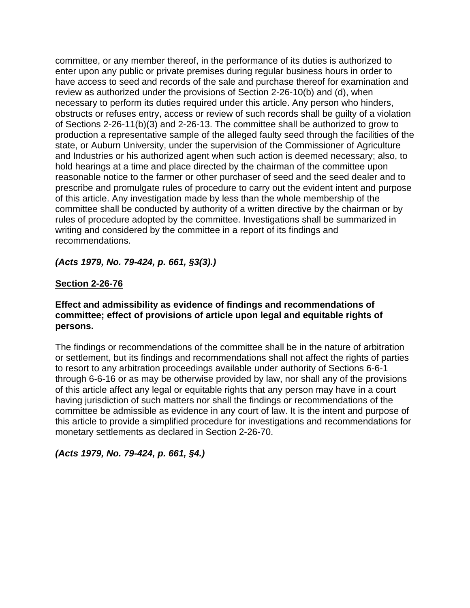committee, or any member thereof, in the performance of its duties is authorized to enter upon any public or private premises during regular business hours in order to have access to seed and records of the sale and purchase thereof for examination and review as authorized under the provisions of Section 2-26-10(b) and (d), when necessary to perform its duties required under this article. Any person who hinders, obstructs or refuses entry, access or review of such records shall be guilty of a violation of Sections 2-26-11(b)(3) and 2-26-13. The committee shall be authorized to grow to production a representative sample of the alleged faulty seed through the facilities of the state, or Auburn University, under the supervision of the Commissioner of Agriculture and Industries or his authorized agent when such action is deemed necessary; also, to hold hearings at a time and place directed by the chairman of the committee upon reasonable notice to the farmer or other purchaser of seed and the seed dealer and to prescribe and promulgate rules of procedure to carry out the evident intent and purpose of this article. Any investigation made by less than the whole membership of the committee shall be conducted by authority of a written directive by the chairman or by rules of procedure adopted by the committee. Investigations shall be summarized in writing and considered by the committee in a report of its findings and recommendations.

*(Acts 1979, No. 79-424, p. 661, §3(3).)*

## **Section 2-26-76**

#### **Effect and admissibility as evidence of findings and recommendations of committee; effect of provisions of article upon legal and equitable rights of persons.**

The findings or recommendations of the committee shall be in the nature of arbitration or settlement, but its findings and recommendations shall not affect the rights of parties to resort to any arbitration proceedings available under authority of Sections 6-6-1 through 6-6-16 or as may be otherwise provided by law, nor shall any of the provisions of this article affect any legal or equitable rights that any person may have in a court having jurisdiction of such matters nor shall the findings or recommendations of the committee be admissible as evidence in any court of law. It is the intent and purpose of this article to provide a simplified procedure for investigations and recommendations for monetary settlements as declared in Section 2-26-70.

#### *(Acts 1979, No. 79-424, p. 661, §4.)*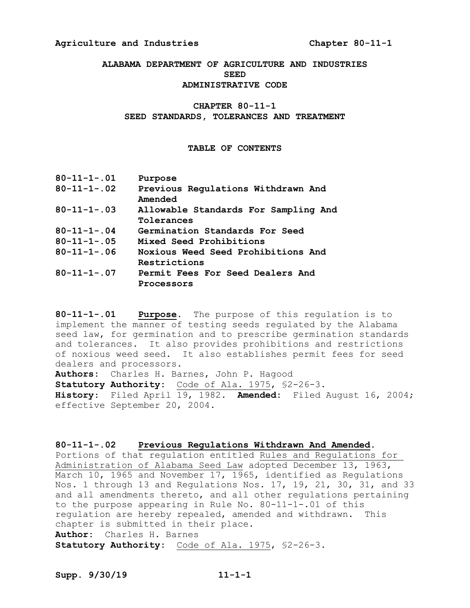#### **Agriculture and Industries Chapter 80-11-1**

**ALABAMA DEPARTMENT OF AGRICULTURE AND INDUSTRIES SEED ADMINISTRATIVE CODE**

## **CHAPTER 80-11-1**

#### **SEED STANDARDS, TOLERANCES AND TREATMENT**

#### **TABLE OF CONTENTS**

| Purpose                                            |
|----------------------------------------------------|
| Previous Regulations Withdrawn And<br>Amended      |
| Allowable Standards For Sampling And<br>Tolerances |
| Germination Standards For Seed                     |
| Mixed Seed Prohibitions                            |
| Noxious Weed Seed Prohibitions And<br>Restrictions |
| Permit Fees For Seed Dealers And<br>Processors     |
|                                                    |

**80-11-1-.01 Purpose.** The purpose of this regulation is to implement the manner of testing seeds regulated by the Alabama seed law, for germination and to prescribe germination standards and tolerances. It also provides prohibitions and restrictions of noxious weed seed. It also establishes permit fees for seed dealers and processors.

**Authors:** Charles H. Barnes, John P. Hagood Statutory Authority: Code of Ala. 1975, \$2-26-3. **History**: Filed April 19, 1982. **Amended:** Filed August 16, 2004; effective September 20, 2004.

**80-11-1-.02 Previous Regulations Withdrawn And Amended.**  Portions of that regulation entitled Rules and Regulations for Administration of Alabama Seed Law adopted December 13, 1963, March 10, 1965 and November 17, 1965, identified as Regulations Nos. 1 through 13 and Regulations Nos. 17, 19, 21, 30, 31, and 33 and all amendments thereto, and all other regulations pertaining to the purpose appearing in Rule No. 80-11-1-.01 of this regulation are hereby repealed, amended and withdrawn. This chapter is submitted in their place. **Author:** Charles H. Barnes **Statutory Authority:** Code of Ala. 1975, §2-26-3.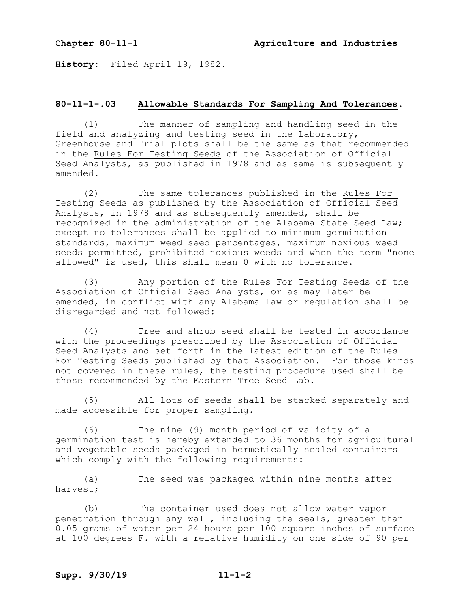**History:** Filed April 19, 1982.

#### **80-11-1-.03 Allowable Standards For Sampling And Tolerances.**

(1) The manner of sampling and handling seed in the field and analyzing and testing seed in the Laboratory, Greenhouse and Trial plots shall be the same as that recommended in the Rules For Testing Seeds of the Association of Official Seed Analysts, as published in 1978 and as same is subsequently amended.

(2) The same tolerances published in the Rules For Testing Seeds as published by the Association of Official Seed Analysts, in 1978 and as subsequently amended, shall be recognized in the administration of the Alabama State Seed Law; except no tolerances shall be applied to minimum germination standards, maximum weed seed percentages, maximum noxious weed seeds permitted, prohibited noxious weeds and when the term "none allowed" is used, this shall mean 0 with no tolerance.

(3) Any portion of the Rules For Testing Seeds of the Association of Official Seed Analysts, or as may later be amended, in conflict with any Alabama law or regulation shall be disregarded and not followed:

(4) Tree and shrub seed shall be tested in accordance with the proceedings prescribed by the Association of Official Seed Analysts and set forth in the latest edition of the Rules For Testing Seeds published by that Association. For those kinds not covered in these rules, the testing procedure used shall be those recommended by the Eastern Tree Seed Lab.

(5) All lots of seeds shall be stacked separately and made accessible for proper sampling.

(6) The nine (9) month period of validity of a germination test is hereby extended to 36 months for agricultural and vegetable seeds packaged in hermetically sealed containers which comply with the following requirements:

(a) The seed was packaged within nine months after harvest;

(b) The container used does not allow water vapor penetration through any wall, including the seals, greater than 0.05 grams of water per 24 hours per 100 square inches of surface at 100 degrees F. with a relative humidity on one side of 90 per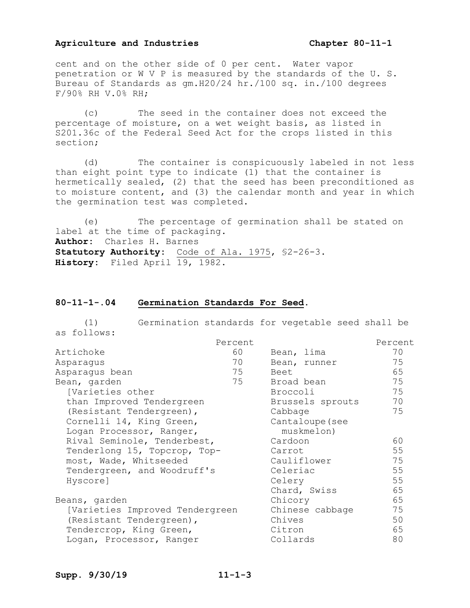#### **Agriculture and Industries Chapter 80-11-1**

cent and on the other side of 0 per cent. Water vapor penetration or W V P is measured by the standards of the U. S. Bureau of Standards as gm.H20/24 hr./100 sq. in./100 degrees F/90% RH V.0% RH;

(c) The seed in the container does not exceed the percentage of moisture, on a wet weight basis, as listed in S201.36c of the Federal Seed Act for the crops listed in this section;

(d) The container is conspicuously labeled in not less than eight point type to indicate (1) that the container is hermetically sealed, (2) that the seed has been preconditioned as to moisture content, and (3) the calendar month and year in which the germination test was completed.

(e) The percentage of germination shall be stated on label at the time of packaging. **Author:** Charles H. Barnes **Statutory Authority:** Code of Ala. 1975, §2-26-3. **History:** Filed April 19, 1982.

#### **80-11-1-.04 Germination Standards For Seed.**

(1) Germination standards for vegetable seed shall be as follows:

|                                 | Percent |                  | Percent |
|---------------------------------|---------|------------------|---------|
| Artichoke                       | 60      | Bean, lima       | 70      |
| Asparagus                       | 70      | Bean, runner     | 75      |
| Asparagus bean                  | 75      | Beet             | 65      |
| Bean, garden                    | 75      | Broad bean       | 75      |
| [Varieties other                |         | Broccoli         | 75      |
| than Improved Tendergreen       |         | Brussels sprouts | 70      |
| (Resistant Tendergreen),        |         | Cabbage          | 75      |
| Cornelli 14, King Green,        |         | Cantaloupe (see  |         |
| Logan Processor, Ranger,        |         | muskmelon)       |         |
| Rival Seminole, Tenderbest,     |         | Cardoon          | 60      |
| Tenderlong 15, Topcrop, Top-    |         | Carrot           | 55      |
| most, Wade, Whitseeded          |         | Cauliflower      | 75      |
| Tendergreen, and Woodruff's     |         | Celeriac         | 55      |
| Hyscore]                        |         | Celery           | 55      |
|                                 |         | Chard, Swiss     | 65      |
| Beans, garden                   |         | Chicory          | 65      |
| [Varieties Improved Tendergreen |         | Chinese cabbage  | 75      |
| (Resistant Tendergreen),        |         | Chives           | 50      |
| Tendercrop, King Green,         |         | Citron           | 65      |
| Logan, Processor, Ranger        |         | Collards         | 80      |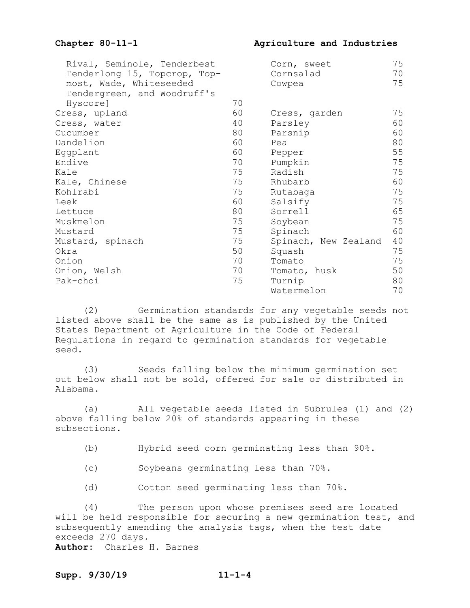Chapter 80-11-1 **Agriculture and Industries** 

| Rival, Seminole, Tenderbest  |    | Corn, sweet          | 75 |
|------------------------------|----|----------------------|----|
| Tenderlong 15, Topcrop, Top- |    | Cornsalad            | 70 |
| most, Wade, Whiteseeded      |    | Cowpea               | 75 |
| Tendergreen, and Woodruff's  |    |                      |    |
| Hyscore]                     | 70 |                      |    |
| Cress, upland                | 60 | Cress, garden        | 75 |
| Cress, water                 | 40 | Parsley              | 60 |
| Cucumber                     | 80 | Parsnip              | 60 |
| Dandelion                    | 60 | Pea                  | 80 |
| Eggplant                     | 60 | Pepper               | 55 |
| Endive                       | 70 | Pumpkin              | 75 |
| Kale                         | 75 | Radish               | 75 |
| Kale, Chinese                | 75 | Rhubarb              | 60 |
| Kohlrabi                     | 75 | Rutabaga             | 75 |
| Leek                         | 60 | Salsify              | 75 |
| Lettuce                      | 80 | Sorrell              | 65 |
| Muskmelon                    | 75 | Soybean              | 75 |
| Mustard                      | 75 | Spinach              | 60 |
| Mustard, spinach             | 75 | Spinach, New Zealand | 40 |
| Okra                         | 50 | Squash               | 75 |
| Onion                        | 70 | Tomato               | 75 |
| Onion, Welsh                 | 70 | Tomato, husk         | 50 |
| Pak-choi                     | 75 | Turnip               | 80 |
|                              |    | Watermelon           | 70 |

(2) Germination standards for any vegetable seeds not listed above shall be the same as is published by the United States Department of Agriculture in the Code of Federal Regulations in regard to germination standards for vegetable seed.

(3) Seeds falling below the minimum germination set out below shall not be sold, offered for sale or distributed in Alabama.

(a) All vegetable seeds listed in Subrules (1) and (2) above falling below 20% of standards appearing in these subsections.

(b) Hybrid seed corn germinating less than 90%.

- (c) Soybeans germinating less than 70%.
- (d) Cotton seed germinating less than 70%.

(4) The person upon whose premises seed are located will be held responsible for securing a new germination test, and subsequently amending the analysis tags, when the test date exceeds 270 days. **Author:** Charles H. Barnes

#### **Supp. 9/30/19 11-1-4**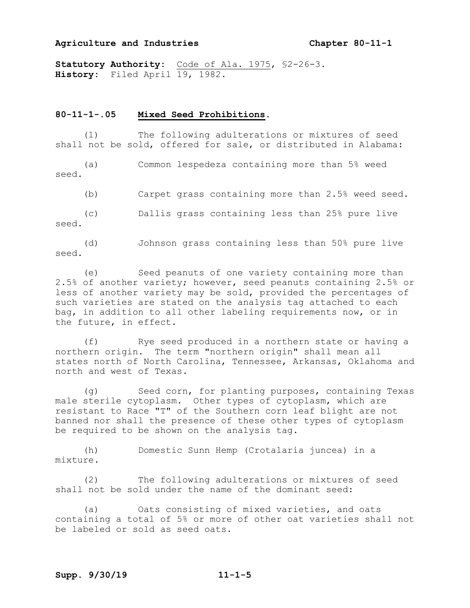#### **Agriculture and Industries Chapter 80-11-1**

**Statutory Authority:** Code of Ala. 1975, §2-26-3. History: Filed April 19, 1982.

#### **80-11-1-.05 Mixed Seed Prohibitions.**

(1) The following adulterations or mixtures of seed shall not be sold, offered for sale, or distributed in Alabama:

(a) Common lespedeza containing more than 5% weed seed.

(b) Carpet grass containing more than 2.5% weed seed.

(c) Dallis grass containing less than 25% pure live seed.

(d) Johnson grass containing less than 50% pure live seed.

(e) Seed peanuts of one variety containing more than 2.5% of another variety; however, seed peanuts containing 2.5% or less of another variety may be sold, provided the percentages of such varieties are stated on the analysis tag attached to each bag, in addition to all other labeling requirements now, or in the future, in effect.

(f) Rye seed produced in a northern state or having a northern origin. The term "northern origin" shall mean all states north of North Carolina, Tennessee, Arkansas, Oklahoma and north and west of Texas.

(g) Seed corn, for planting purposes, containing Texas male sterile cytoplasm. Other types of cytoplasm, which are resistant to Race "T" of the Southern corn leaf blight are not banned nor shall the presence of these other types of cytoplasm be required to be shown on the analysis tag.

(h) Domestic Sunn Hemp (Crotalaria juncea) in a mixture.

(2) The following adulterations or mixtures of seed shall not be sold under the name of the dominant seed:

(a) Oats consisting of mixed varieties, and oats containing a total of 5% or more of other oat varieties shall not be labeled or sold as seed oats.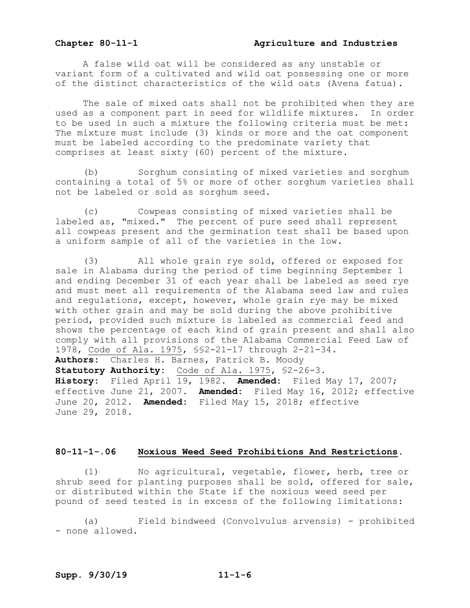#### **Chapter 80-11-1 Agriculture and Industries**

A false wild oat will be considered as any unstable or variant form of a cultivated and wild oat possessing one or more of the distinct characteristics of the wild oats (Avena fatua).

The sale of mixed oats shall not be prohibited when they are used as a component part in seed for wildlife mixtures. In order to be used in such a mixture the following criteria must be met: The mixture must include (3) kinds or more and the oat component must be labeled according to the predominate variety that comprises at least sixty (60) percent of the mixture.

(b) Sorghum consisting of mixed varieties and sorghum containing a total of 5% or more of other sorghum varieties shall not be labeled or sold as sorghum seed.

(c) Cowpeas consisting of mixed varieties shall be labeled as, "mixed." The percent of pure seed shall represent all cowpeas present and the germination test shall be based upon a uniform sample of all of the varieties in the low.

(3) All whole grain rye sold, offered or exposed for sale in Alabama during the period of time beginning September 1 and ending December 31 of each year shall be labeled as seed rye and must meet all requirements of the Alabama seed law and rules and regulations, except, however, whole grain rye may be mixed with other grain and may be sold during the above prohibitive period, provided such mixture is labeled as commercial feed and shows the percentage of each kind of grain present and shall also comply with all provisions of the Alabama Commercial Feed Law of 1978, Code of Ala. 1975, §§2-21-17 through 2-21-34. **Authors:** Charles H. Barnes, Patrick B. Moody **Statutory Authority:** Code of Ala. 1975, §2-26-3. **History:** Filed April 19, 1982. **Amended:** Filed May 17, 2007; effective June 21, 2007. **Amended:** Filed May 16, 2012; effective June 20, 2012. **Amended:** Filed May 15, 2018; effective June 29, 2018.

#### **80-11-1-.06 Noxious Weed Seed Prohibitions And Restrictions.**

(1) No agricultural, vegetable, flower, herb, tree or shrub seed for planting purposes shall be sold, offered for sale, or distributed within the State if the noxious weed seed per pound of seed tested is in excess of the following limitations:

(a) Field bindweed (Convolvulus arvensis) - prohibited - none allowed.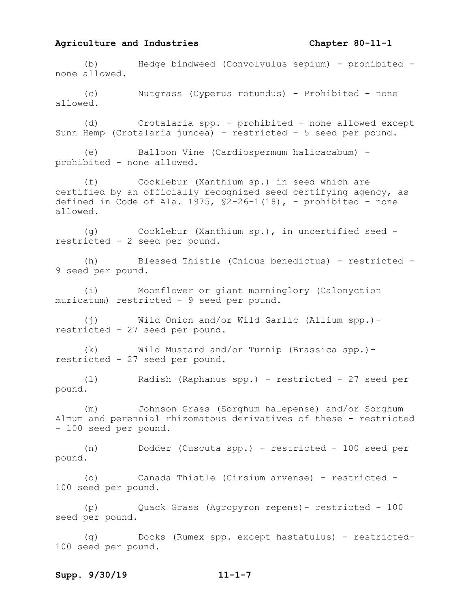#### **Agriculture and Industries Chapter 80-11-1**

(b) Hedge bindweed (Convolvulus sepium) - prohibited none allowed.

(c) Nutgrass (Cyperus rotundus) - Prohibited - none allowed.

(d) Crotalaria spp. - prohibited - none allowed except Sunn Hemp (Crotalaria juncea) – restricted – 5 seed per pound.

(e) Balloon Vine (Cardiospermum halicacabum) prohibited - none allowed.

(f) Cocklebur (Xanthium sp.) in seed which are certified by an officially recognized seed certifying agency, as defined in Code of Ala. 1975,  $$2-26-1(18)$ , - prohibited - none allowed.

(g) Cocklebur (Xanthium sp.), in uncertified seed restricted - 2 seed per pound.

(h) Blessed Thistle (Cnicus benedictus) - restricted - 9 seed per pound.

(i) Moonflower or giant morninglory (Calonyction muricatum) restricted - 9 seed per pound.

(j) Wild Onion and/or Wild Garlic (Allium spp.) restricted - 27 seed per pound.

(k) Wild Mustard and/or Turnip (Brassica spp.) restricted - 27 seed per pound.

(1) Radish (Raphanus spp.) - restricted - 27 seed per pound.

(m) Johnson Grass (Sorghum halepense) and/or Sorghum Almum and perennial rhizomatous derivatives of these - restricted - 100 seed per pound.

(n) Dodder (Cuscuta spp.) - restricted - 100 seed per pound.

(o) Canada Thistle (Cirsium arvense) - restricted - 100 seed per pound.

(p) Quack Grass (Agropyron repens)- restricted - 100 seed per pound.

(q) Docks (Rumex spp. except hastatulus) - restricted-100 seed per pound.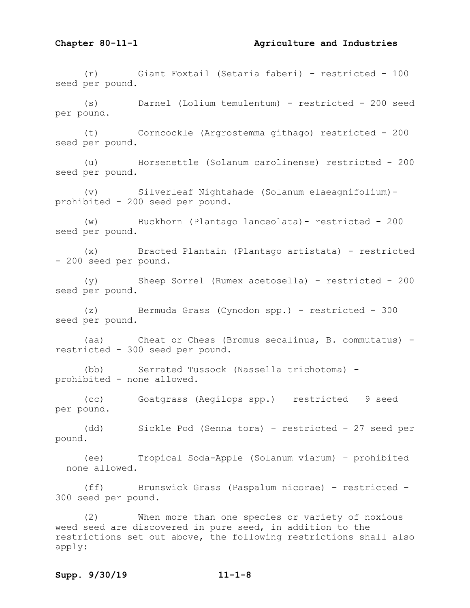(r) Giant Foxtail (Setaria faberi) - restricted - 100 seed per pound.

(s) Darnel (Lolium temulentum) - restricted - 200 seed per pound.

(t) Corncockle (Argrostemma githago) restricted - 200 seed per pound.

(u) Horsenettle (Solanum carolinense) restricted - 200 seed per pound.

(v) Silverleaf Nightshade (Solanum elaeagnifolium) prohibited - 200 seed per pound.

(w) Buckhorn (Plantago lanceolata)- restricted - 200 seed per pound.

(x) Bracted Plantain (Plantago artistata) - restricted - 200 seed per pound.

(y) Sheep Sorrel (Rumex acetosella) - restricted - 200 seed per pound.

(z) Bermuda Grass (Cynodon spp.) - restricted - 300 seed per pound.

(aa) Cheat or Chess (Bromus secalinus, B. commutatus) restricted - 300 seed per pound.

(bb) Serrated Tussock (Nassella trichotoma) prohibited - none allowed.

(cc) Goatgrass (Aegilops spp.) – restricted – 9 seed per pound.

(dd) Sickle Pod (Senna tora) – restricted – 27 seed per pound.

(ee) Tropical Soda-Apple (Solanum viarum) – prohibited – none allowed.

(ff) Brunswick Grass (Paspalum nicorae) – restricted – 300 seed per pound.

(2) When more than one species or variety of noxious weed seed are discovered in pure seed, in addition to the restrictions set out above, the following restrictions shall also apply: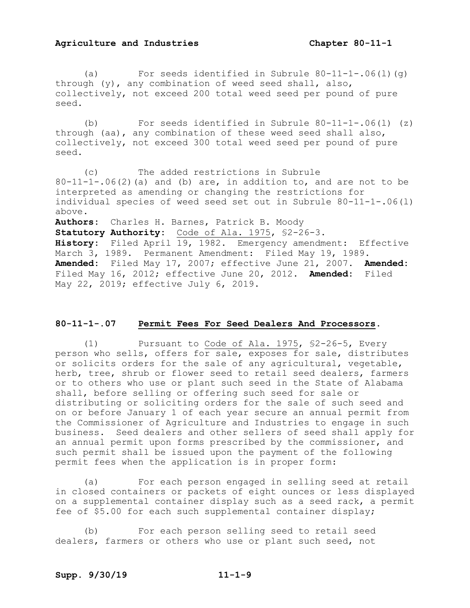#### **Agriculture and Industries Chapter 80-11-1**

(a) For seeds identified in Subrule  $80-11-1-.06(1)(q)$ through (y), any combination of weed seed shall, also, collectively, not exceed 200 total weed seed per pound of pure seed.

(b) For seeds identified in Subrule 80-11-1-.06(l) (z) through (aa), any combination of these weed seed shall also, collectively, not exceed 300 total weed seed per pound of pure seed.

(c) The added restrictions in Subrule  $80-11-1-.06(2)$  (a) and (b) are, in addition to, and are not to be interpreted as amending or changing the restrictions for individual species of weed seed set out in Subrule 80-11-1-.06(l) above. **Authors:** Charles H. Barnes, Patrick B. Moody

**Statutory Authority:** Code of Ala. 1975, §2-26-3. **History:** Filed April 19, 1982. Emergency amendment: Effective March 3, 1989. Permanent Amendment: Filed May 19, 1989. **Amended:** Filed May 17, 2007; effective June 21, 2007. **Amended:** Filed May 16, 2012; effective June 20, 2012. **Amended:** Filed May 22, 2019; effective July 6, 2019.

#### **80-11-1-.07 Permit Fees For Seed Dealers And Processors.**

(1) Pursuant to Code of Ala. 1975, §2-26-5, Every person who sells, offers for sale, exposes for sale, distributes or solicits orders for the sale of any agricultural, vegetable, herb, tree, shrub or flower seed to retail seed dealers, farmers or to others who use or plant such seed in the State of Alabama shall, before selling or offering such seed for sale or distributing or soliciting orders for the sale of such seed and on or before January 1 of each year secure an annual permit from the Commissioner of Agriculture and Industries to engage in such business. Seed dealers and other sellers of seed shall apply for an annual permit upon forms prescribed by the commissioner, and such permit shall be issued upon the payment of the following permit fees when the application is in proper form:

(a) For each person engaged in selling seed at retail in closed containers or packets of eight ounces or less displayed on a supplemental container display such as a seed rack, a permit fee of \$5.00 for each such supplemental container display;

(b) For each person selling seed to retail seed dealers, farmers or others who use or plant such seed, not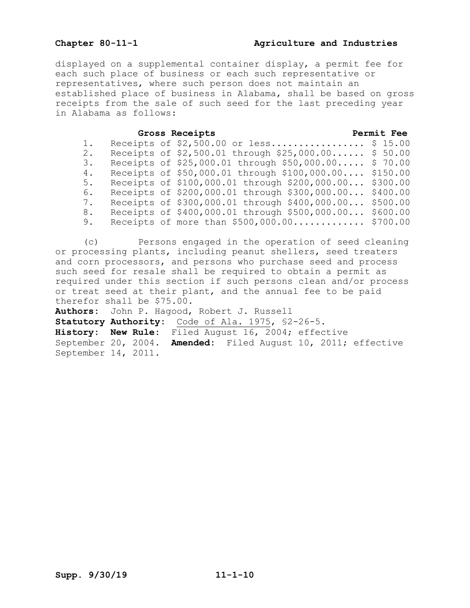## **Chapter 80-11-1 Agriculture and Industries**

displayed on a supplemental container display, a permit fee for each such place of business or each such representative or representatives, where such person does not maintain an established place of business in Alabama, shall be based on gross receipts from the sale of such seed for the last preceding year in Alabama as follows:

#### **Gross Receipts Permit Fee**

| 1. |  | Receipts of $$2,500.00$ or less               | \$15.00  |
|----|--|-----------------------------------------------|----------|
| 2. |  | Receipts of \$2,500.01 through \$25,000.00    | \$50.00  |
| 3. |  | Receipts of \$25,000.01 through \$50,000.00   | \$70.00  |
| 4. |  | Receipts of \$50,000.01 through \$100,000.00  | \$150.00 |
| 5. |  | Receipts of \$100,000.01 through \$200,000.00 | \$300.00 |
| 6. |  | Receipts of \$200,000.01 through \$300,000.00 | \$400.00 |
| 7. |  | Receipts of \$300,000.01 through \$400,000.00 | \$500.00 |
| 8. |  | Receipts of \$400,000.01 through \$500,000.00 | \$600.00 |
| 9. |  | Receipts of more than \$500,000.00            | \$700.00 |

(c) Persons engaged in the operation of seed cleaning or processing plants, including peanut shellers, seed treaters and corn processors, and persons who purchase seed and process such seed for resale shall be required to obtain a permit as required under this section if such persons clean and/or process or treat seed at their plant, and the annual fee to be paid therefor shall be \$75.00.

**Authors:** John P. Hagood, Robert J. Russell **Statutory Authority:** Code of Ala. 1975, §2-26-5. **History: New Rule:** Filed August 16, 2004; effective September 20, 2004. **Amended:** Filed August 10, 2011; effective September 14, 2011.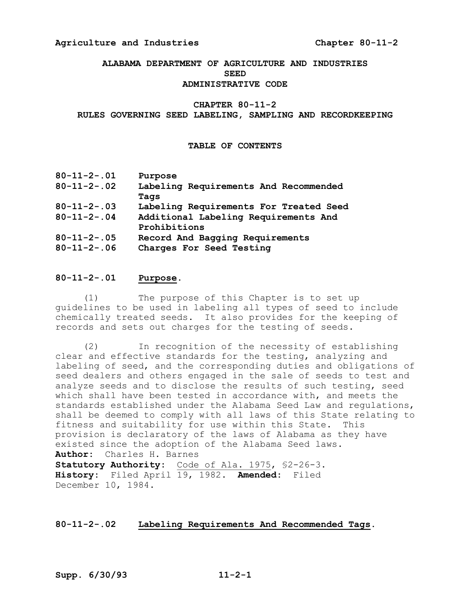#### **Agriculture and Industries Chapter 80112**

#### **ALABAMA DEPARTMENT OF AGRICULTURE AND INDUSTRIES SEED ADMINISTRATIVE CODE**

#### CHAPTER 80-11-2

**RULES GOVERNING SEED LABELING, SAMPLING AND RECORDKEEPING** 

#### **TABLE OF CONTENTS**

| $80 - 11 - 2 - .01$ | Purpose                                |
|---------------------|----------------------------------------|
| $80 - 11 - 2 - 02$  | Labeling Requirements And Recommended  |
|                     | Tags                                   |
| $80 - 11 - 2 - 03$  | Labeling Requirements For Treated Seed |
| $80 - 11 - 2 - 04$  | Additional Labeling Requirements And   |
|                     | Prohibitions                           |
| $80 - 11 - 2 - 05$  | Record And Bagging Requirements        |
| $80 - 11 - 2 - 06$  | Charges For Seed Testing               |

#### **80112.01 Purpose.**

(1) The purpose of this Chapter is to set up guidelines to be used in labeling all types of seed to include chemically treated seeds. It also provides for the keeping of records and sets out charges for the testing of seeds.

(2) In recognition of the necessity of establishing clear and effective standards for the testing, analyzing and labeling of seed, and the corresponding duties and obligations of seed dealers and others engaged in the sale of seeds to test and analyze seeds and to disclose the results of such testing, seed which shall have been tested in accordance with, and meets the standards established under the Alabama Seed Law and regulations, shall be deemed to comply with all laws of this State relating to fitness and suitability for use within this State. This provision is declaratory of the laws of Alabama as they have existed since the adoption of the Alabama Seed laws. **Author:** Charles H. Barnes Statutory Authority: Code of Ala. 1975, \$2-26-3. **History:** Filed April 19, 1982. **Amended:** Filed December 10, 1984.

#### **80112.02 Labeling Requirements And Recommended Tags.**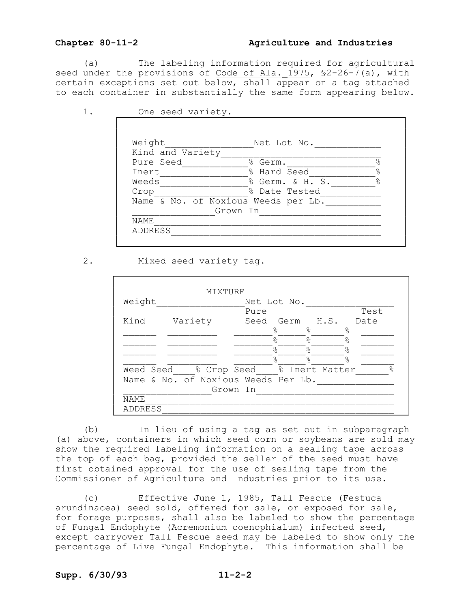#### **Chapter 80112 Agriculture and Industries**

(a) The labeling information required for agricultural seed under the provisions of Code of Ala.  $1975$ ,  $$2-26-7(a)$ , with certain exceptions set out below, shall appear on a tag attached to each container in substantially the same form appearing below.

| Weight           | Net Lot No.                         |               |
|------------------|-------------------------------------|---------------|
| Kind and Variety |                                     |               |
| Pure Seed        | % Germ.                             | $\frac{6}{5}$ |
| Inert            | % Hard Seed                         | $\frac{6}{5}$ |
| Weeds            | % Germ. & H. S.                     | $\frac{6}{5}$ |
| Crop             | % Date Tested                       |               |
|                  | Name & No. of Noxious Weeds per Lb. |               |
|                  | Grown In                            |               |
| NAME             |                                     |               |
| ADDRESS          |                                     |               |

2. Mixed seed variety tag.

|         | MIXTURE                              |          |             |           |           |      |                |
|---------|--------------------------------------|----------|-------------|-----------|-----------|------|----------------|
| Weight  |                                      |          | Net Lot No. |           |           |      |                |
|         |                                      | Pure     |             |           |           | Test |                |
| Kind    | Variety                              | Seed     | Germ        | H.S.      |           | Date |                |
|         |                                      |          | °€          | ⊱         | ٥R        |      |                |
|         |                                      |          | ⊱           | $\approx$ | $\approx$ |      |                |
|         |                                      |          | $\approx$   | $\approx$ | $\approx$ |      |                |
|         |                                      |          | $\approx$   | $\approx$ | $\approx$ |      |                |
|         | Weed Seed % Crop Seed % Inert Matter |          |             |           |           |      | $\frac{6}{10}$ |
|         | Name & No. of Noxious Weeds Per Lb.  |          |             |           |           |      |                |
|         |                                      | Grown In |             |           |           |      |                |
| NAME    |                                      |          |             |           |           |      |                |
| ADDRESS |                                      |          |             |           |           |      |                |

(b) In lieu of using a tag as set out in subparagraph (a) above, containers in which seed corn or soybeans are sold may show the required labeling information on a sealing tape across the top of each bag, provided the seller of the seed must have first obtained approval for the use of sealing tape from the Commissioner of Agriculture and Industries prior to its use.

(c) Effective June 1, 1985, Tall Fescue (Festuca arundinacea) seed sold, offered for sale, or exposed for sale, for forage purposes, shall also be labeled to show the percentage of Fungal Endophyte (Acremonium coenophialum) infected seed, except carryover Tall Fescue seed may be labeled to show only the percentage of Live Fungal Endophyte. This information shall be

#### Supp. 6/30/93 **11-2-2**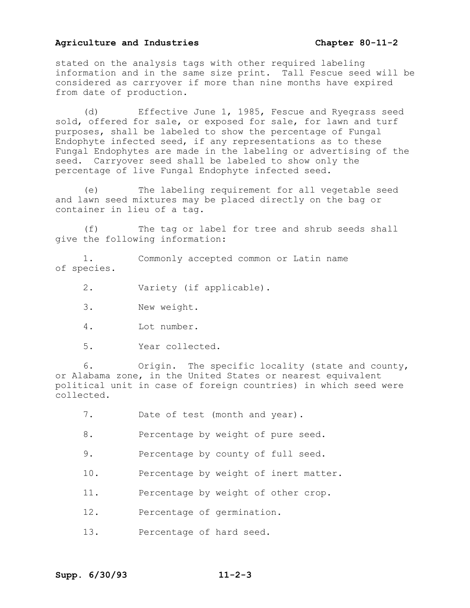#### **Agriculture and Industries Chapter 80112**

stated on the analysis tags with other required labeling information and in the same size print. Tall Fescue seed will be considered as carryover if more than nine months have expired from date of production.

(d) Effective June 1, 1985, Fescue and Ryegrass seed sold, offered for sale, or exposed for sale, for lawn and turf purposes, shall be labeled to show the percentage of Fungal Endophyte infected seed, if any representations as to these Fungal Endophytes are made in the labeling or advertising of the seed. Carryover seed shall be labeled to show only the percentage of live Fungal Endophyte infected seed.

(e) The labeling requirement for all vegetable seed and lawn seed mixtures may be placed directly on the bag or container in lieu of a tag.

(f) The tag or label for tree and shrub seeds shall give the following information:

1. Commonly accepted common or Latin name of species.

2. Variety (if applicable).

- 3. New weight.
- 4. Lot number.
- 5. Year collected.

6. Origin. The specific locality (state and county, or Alabama zone, in the United States or nearest equivalent political unit in case of foreign countries) in which seed were collected.

- 7. Date of test (month and year).
- 8. Percentage by weight of pure seed.
- 9. Percentage by county of full seed.
- 10. Percentage by weight of inert matter.
- 11. Percentage by weight of other crop.
- 12. Percentage of germination.
- 13. Percentage of hard seed.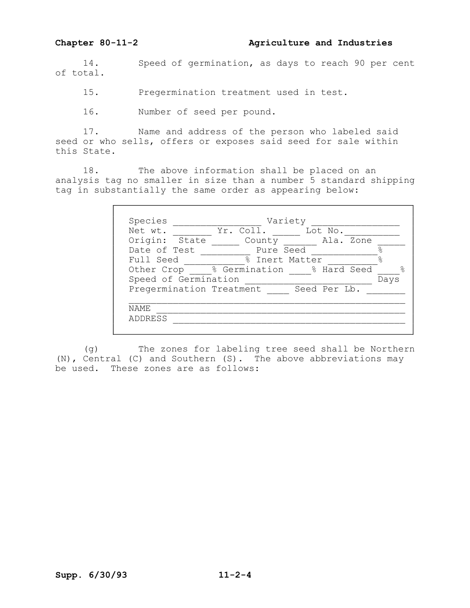14. Speed of germination, as days to reach 90 per cent of total.

15. Pregermination treatment used in test.

16. Number of seed per pound.

17. Name and address of the person who labeled said seed or who sells, offers or exposes said seed for sale within this State.

18. The above information shall be placed on an analysis tag no smaller in size than a number 5 standard shipping tag in substantially the same order as appearing below:

| Species                  | Variety        |              |      |  |
|--------------------------|----------------|--------------|------|--|
| Net wt.                  | Yr. Coll.      | Lot No.      |      |  |
| Origin:<br>State         | County         | Ala. Zone    |      |  |
| Date of Test             | Pure Seed      |              |      |  |
| Full Seed                | % Inert Matter |              |      |  |
| Other Crop               | % Germination  | % Hard Seed  | 욲    |  |
| Speed of Germination     |                |              | Days |  |
| Pregermination Treatment |                | Seed Per Lb. |      |  |
|                          |                |              |      |  |
| NAMF.                    |                |              |      |  |
| ADDRESS                  |                |              |      |  |

(g) The zones for labeling tree seed shall be Northern (N), Central (C) and Southern (S). The above abbreviations may be used. These zones are as follows: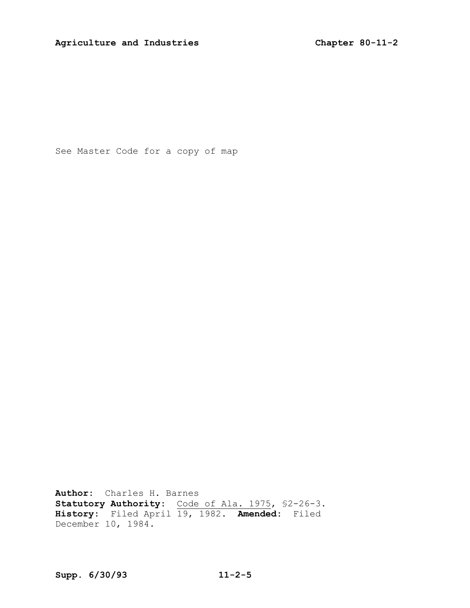See Master Code for a copy of map

**Author:** Charles H. Barnes **Statutory Authority:** Code of Ala. 1975, \$2-26-3. **History:** Filed April 19, 1982. **Amended:** Filed December 10, 1984.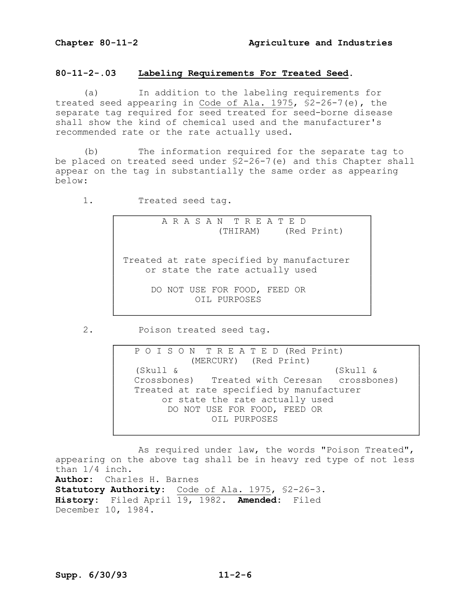#### **80112.03 Labeling Requirements For Treated Seed**.

(a) In addition to the labeling requirements for treated seed appearing in Code of Ala.  $1975$ ,  $$2-26-7$  (e), the separate tag required for seed treated for seed-borne disease shall show the kind of chemical used and the manufacturer's recommended rate or the rate actually used.

(b) The information required for the separate tag to be placed on treated seed under  $$2-26-7(e)$  and this Chapter shall appear on the tag in substantially the same order as appearing below:

1. Treated seed tag.

A R A S A N T R E A T E D (THIRAM) (Red Print)

Treated at rate specified by manufacturer or state the rate actually used

> DO NOT USE FOR FOOD, FEED OR OIL PURPOSES

2. Poison treated seed tag.

P O I S O N T R E A T E D (Red Print) (MERCURY) (Red Print) (Skull & (Skull & Crossbones) Treated with Ceresan crossbones) Treated at rate specified by manufacturer or state the rate actually used DO NOT USE FOR FOOD, FEED OR OIL PURPOSES

As required under law, the words "Poison Treated", appearing on the above tag shall be in heavy red type of not less than 1/4 inch. **Author:** Charles H. Barnes Statutory Authority: Code of Ala. 1975, \$2-26-3. **History:** Filed April 19, 1982. **Amended:** Filed December 10, 1984.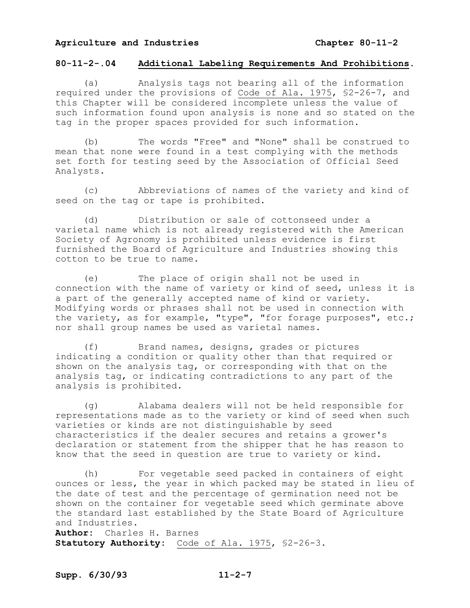#### **Agriculture and Industries Chapter 80112**

#### **80112.04 Additional Labeling Requirements And Prohibitions.**

(a) Analysis tags not bearing all of the information required under the provisions of Code of Ala. 1975, \$2-26-7, and this Chapter will be considered incomplete unless the value of such information found upon analysis is none and so stated on the tag in the proper spaces provided for such information.

(b) The words "Free" and "None" shall be construed to mean that none were found in a test complying with the methods set forth for testing seed by the Association of Official Seed Analysts.

(c) Abbreviations of names of the variety and kind of seed on the tag or tape is prohibited.

(d) Distribution or sale of cottonseed under a varietal name which is not already registered with the American Society of Agronomy is prohibited unless evidence is first furnished the Board of Agriculture and Industries showing this cotton to be true to name.

(e) The place of origin shall not be used in connection with the name of variety or kind of seed, unless it is a part of the generally accepted name of kind or variety. Modifying words or phrases shall not be used in connection with the variety, as for example, "type", "for forage purposes", etc.; nor shall group names be used as varietal names.

(f) Brand names, designs, grades or pictures indicating a condition or quality other than that required or shown on the analysis tag, or corresponding with that on the analysis tag, or indicating contradictions to any part of the analysis is prohibited.

(g) Alabama dealers will not be held responsible for representations made as to the variety or kind of seed when such varieties or kinds are not distinguishable by seed characteristics if the dealer secures and retains a grower's declaration or statement from the shipper that he has reason to know that the seed in question are true to variety or kind.

(h) For vegetable seed packed in containers of eight ounces or less, the year in which packed may be stated in lieu of the date of test and the percentage of germination need not be shown on the container for vegetable seed which germinate above the standard last established by the State Board of Agriculture and Industries.

**Author:** Charles H. Barnes Statutory Authority: Code of Ala. 1975, \$2-26-3.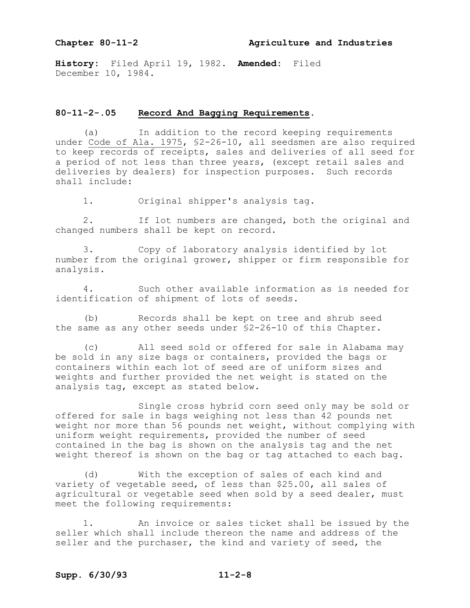**History:** Filed April 19, 1982. **Amended:** Filed December 10, 1984.

#### **80112.05 Record And Bagging Requirements.**

(a) In addition to the record keeping requirements under Code of Ala. 1975, §2-26-10, all seedsmen are also required to keep records of receipts, sales and deliveries of all seed for a period of not less than three years, (except retail sales and deliveries by dealers) for inspection purposes. Such records shall include:

1. Original shipper's analysis tag.

2. If lot numbers are changed, both the original and changed numbers shall be kept on record.

3. Copy of laboratory analysis identified by lot number from the original grower, shipper or firm responsible for analysis.

4. Such other available information as is needed for identification of shipment of lots of seeds.

(b) Records shall be kept on tree and shrub seed the same as any other seeds under  $$2-26-10$  of this Chapter.

(c) All seed sold or offered for sale in Alabama may be sold in any size bags or containers, provided the bags or containers within each lot of seed are of uniform sizes and weights and further provided the net weight is stated on the analysis tag, except as stated below.

Single cross hybrid corn seed only may be sold or offered for sale in bags weighing not less than 42 pounds net weight nor more than 56 pounds net weight, without complying with uniform weight requirements, provided the number of seed contained in the bag is shown on the analysis tag and the net weight thereof is shown on the bag or tag attached to each bag.

(d) With the exception of sales of each kind and variety of vegetable seed, of less than \$25.00, all sales of agricultural or vegetable seed when sold by a seed dealer, must meet the following requirements:

1. An invoice or sales ticket shall be issued by the seller which shall include thereon the name and address of the seller and the purchaser, the kind and variety of seed, the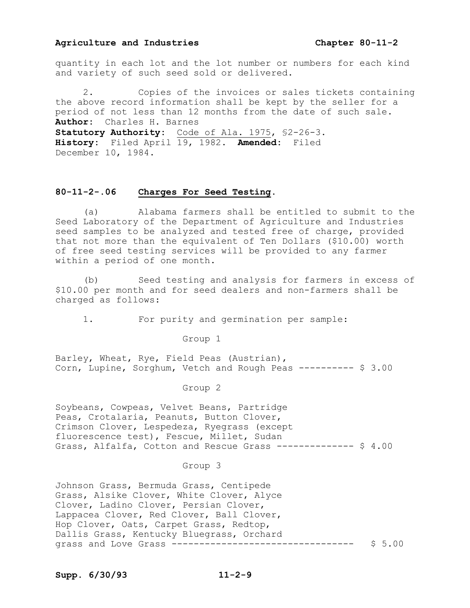#### **Agriculture and Industries Chapter 80112**

quantity in each lot and the lot number or numbers for each kind and variety of such seed sold or delivered.

2. Copies of the invoices or sales tickets containing the above record information shall be kept by the seller for a period of not less than 12 months from the date of such sale. **Author:** Charles H. Barnes Statutory Authority: Code of Ala. 1975, \$2-26-3. **History:** Filed April 19, 1982. **Amended:** Filed December 10, 1984.

#### **80112.06 Charges For Seed Testing.**

(a) Alabama farmers shall be entitled to submit to the Seed Laboratory of the Department of Agriculture and Industries seed samples to be analyzed and tested free of charge, provided that not more than the equivalent of Ten Dollars (\$10.00) worth of free seed testing services will be provided to any farmer within a period of one month.

(b) Seed testing and analysis for farmers in excess of \$10.00 per month and for seed dealers and non-farmers shall be charged as follows:

1. For purity and germination per sample:

Group 1

Barley, Wheat, Rye, Field Peas (Austrian), Corn, Lupine, Sorghum, Vetch and Rough Peas --------- \$ 3.00

Group 2

Soybeans, Cowpeas, Velvet Beans, Partridge Peas, Crotalaria, Peanuts, Button Clover, Crimson Clover, Lespedeza, Ryegrass (except fluorescence test), Fescue, Millet, Sudan Grass, Alfalfa, Cotton and Rescue Grass  $---------$  \$ 4.00

#### Group 3

Johnson Grass, Bermuda Grass, Centipede Grass, Alsike Clover, White Clover, Alyce Clover, Ladino Clover, Persian Clover, Lappacea Clover, Red Clover, Ball Clover, Hop Clover, Oats, Carpet Grass, Redtop, Dallis Grass, Kentucky Bluegrass, Orchard grass and Love Grass --------------------------------- \$ 5.00